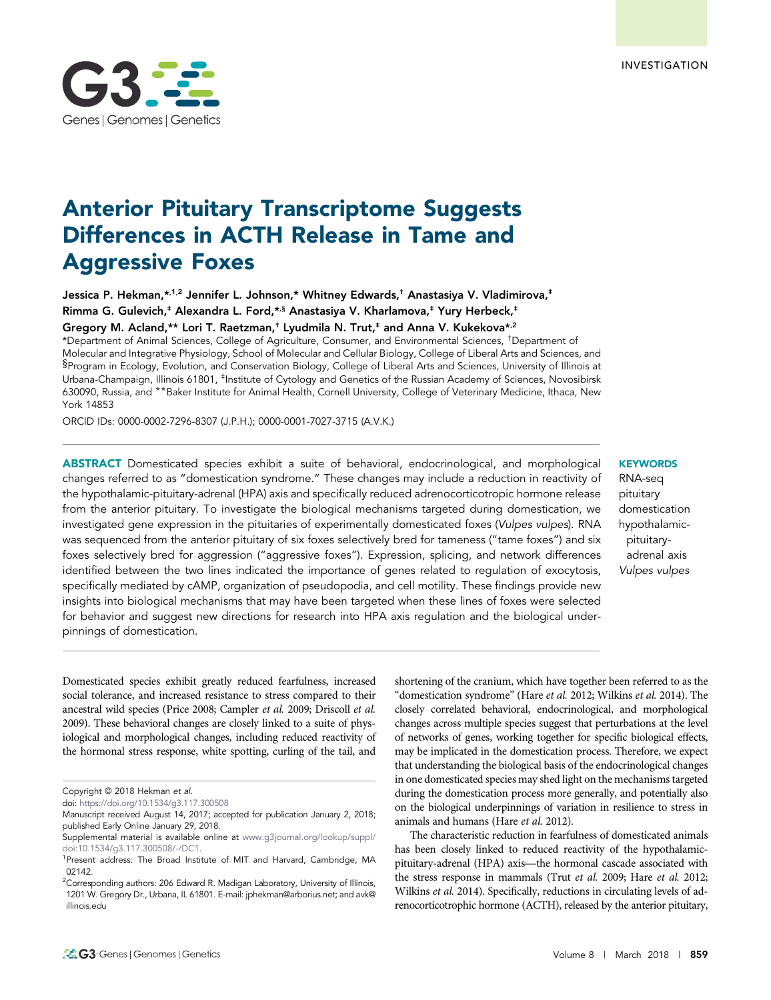# Anterior Pituitary Transcriptome Suggests Differences in ACTH Release in Tame and Aggressive Foxes

Jessica P. Hekman,\*,<sup>1,2</sup> Jennifer L. Johnson,\* Whitney Edwards,<sup>†</sup> Anastasiya V. Vladimirova,<sup>‡</sup> Rimma G. Gulevich,<sup>‡</sup> Alexandra L. Ford,\*,§ Anastasiya V. Kharlamova,<sup>‡</sup> Yury Herbeck,<sup>‡</sup> Gregory M. Acland,\*\* Lori T. Raetzman,<sup>†</sup> Lyudmila N. Trut,<sup>‡</sup> and Anna V. Kukekova<sup>\*,2</sup>

\*Department of Animal Sciences, College of Agriculture, Consumer, and Environmental Sciences, †Department of Molecular and Integrative Physiology, School of Molecular and Cellular Biology, College of Liberal Arts and Sciences, and §Program in Ecology, Evolution, and Conservation Biology, College of Liberal Arts and Sciences, University of Illinois at Urbana-Champaign, Illinois 61801, <sup>‡</sup>Institute of Cytology and Genetics of the Russian Academy of Sciences, Novosibirsk 630090, Russia, and \*\*Baker Institute for Animal Health, Cornell University, College of Veterinary Medicine, Ithaca, New York 14853

ORCID IDs: [0000-0002-7296-8307](http://orcid.org/0000-0002-7296-8307) (J.P.H.); [0000-0001-7027-3715](http://orcid.org/0000-0001-7027-3715) (A.V.K.)

ABSTRACT Domesticated species exhibit a suite of behavioral, endocrinological, and morphological changes referred to as "domestication syndrome." These changes may include a reduction in reactivity of the hypothalamic-pituitary-adrenal (HPA) axis and specifically reduced adrenocorticotropic hormone release from the anterior pituitary. To investigate the biological mechanisms targeted during domestication, we investigated gene expression in the pituitaries of experimentally domesticated foxes (Vulpes vulpes). RNA was sequenced from the anterior pituitary of six foxes selectively bred for tameness ("tame foxes") and six foxes selectively bred for aggression ("aggressive foxes"). Expression, splicing, and network differences identified between the two lines indicated the importance of genes related to regulation of exocytosis, specifically mediated by cAMP, organization of pseudopodia, and cell motility. These findings provide new insights into biological mechanisms that may have been targeted when these lines of foxes were selected for behavior and suggest new directions for research into HPA axis regulation and the biological underpinnings of domestication.

## **KEYWORDS**

RNA-seq pituitary domestication hypothalamicpituitaryadrenal axis Vulpes vulpes

shortening of the cranium, which have together been referred to as the "domestication syndrome" (Hare et al. 2012; Wilkins et al. 2014). The closely correlated behavioral, endocrinological, and morphological changes across multiple species suggest that perturbations at the level of networks of genes, working together for specific biological effects, may be implicated in the domestication process. Therefore, we expect that understanding the biological basis of the endocrinological changes in one domesticated species may shed light on the mechanisms targeted during the domestication process more generally, and potentially also on the biological underpinnings of variation in resilience to stress in animals and humans (Hare et al. 2012).

The characteristic reduction in fearfulness of domesticated animals has been closely linked to reduced reactivity of the hypothalamicpituitary-adrenal (HPA) axis—the hormonal cascade associated with the stress response in mammals (Trut et al. 2009; Hare et al. 2012; Wilkins et al. 2014). Specifically, reductions in circulating levels of adrenocorticotrophic hormone (ACTH), released by the anterior pituitary,



Domesticated species exhibit greatly reduced fearfulness, increased social tolerance, and increased resistance to stress compared to their ancestral wild species (Price 2008; Campler et al. 2009; Driscoll et al. 2009). These behavioral changes are closely linked to a suite of physiological and morphological changes, including reduced reactivity of the hormonal stress response, white spotting, curling of the tail, and

Copyright © 2018 Hekman et al.

doi: <https://doi.org/10.1534/g3.117.300508>

Manuscript received August 14, 2017; accepted for publication January 2, 2018; published Early Online January 29, 2018.

Supplemental material is available online at [www.g3journal.org/lookup/suppl/](http://www.g3journal.org/lookup/suppl/doi:10.1534/g3.117.300508/-/DC1) [doi:10.1534/g3.117.300508/-/DC1](http://www.g3journal.org/lookup/suppl/doi:10.1534/g3.117.300508/-/DC1).

<sup>&</sup>lt;sup>1</sup>Present address: The Broad Institute of MIT and Harvard, Cambridge, MA 02142.

<sup>&</sup>lt;sup>2</sup>Corresponding authors: 206 Edward R. Madigan Laboratory, University of Illinois, 1201 W. Gregory Dr., Urbana, IL 61801. E-mail: [jphekman@arborius.net](mailto:jphekman@arborius.net); and [avk@](mailto:avk@illinois.edu) [illinois.edu](mailto:avk@illinois.edu)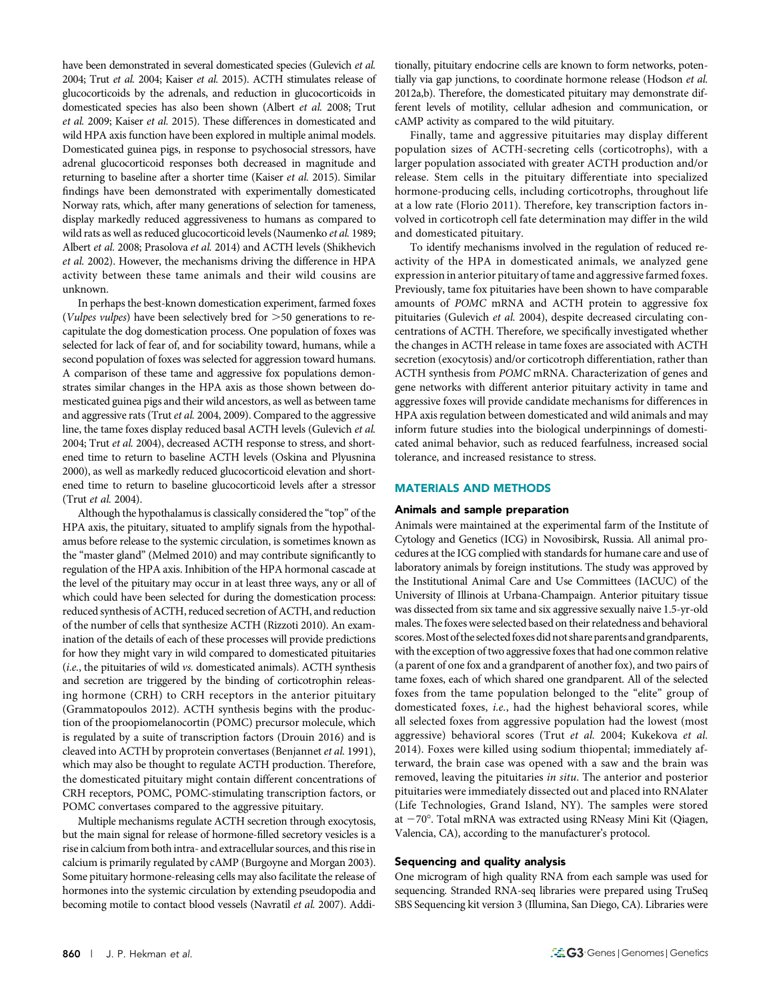have been demonstrated in several domesticated species (Gulevich et al. 2004; Trut et al. 2004; Kaiser et al. 2015). ACTH stimulates release of glucocorticoids by the adrenals, and reduction in glucocorticoids in domesticated species has also been shown (Albert et al. 2008; Trut et al. 2009; Kaiser et al. 2015). These differences in domesticated and wild HPA axis function have been explored in multiple animal models. Domesticated guinea pigs, in response to psychosocial stressors, have adrenal glucocorticoid responses both decreased in magnitude and returning to baseline after a shorter time (Kaiser et al. 2015). Similar findings have been demonstrated with experimentally domesticated Norway rats, which, after many generations of selection for tameness, display markedly reduced aggressiveness to humans as compared to wild rats as well as reduced glucocorticoid levels (Naumenko et al. 1989; Albert et al. 2008; Prasolova et al. 2014) and ACTH levels (Shikhevich et al. 2002). However, the mechanisms driving the difference in HPA activity between these tame animals and their wild cousins are unknown.

In perhaps the best-known domestication experiment, farmed foxes (Vulpes vulpes) have been selectively bred for  $>50$  generations to recapitulate the dog domestication process. One population of foxes was selected for lack of fear of, and for sociability toward, humans, while a second population of foxes was selected for aggression toward humans. A comparison of these tame and aggressive fox populations demonstrates similar changes in the HPA axis as those shown between domesticated guinea pigs and their wild ancestors, as well as between tame and aggressive rats (Trut et al. 2004, 2009). Compared to the aggressive line, the tame foxes display reduced basal ACTH levels (Gulevich et al. 2004; Trut et al. 2004), decreased ACTH response to stress, and shortened time to return to baseline ACTH levels (Oskina and Plyusnina 2000), as well as markedly reduced glucocorticoid elevation and shortened time to return to baseline glucocorticoid levels after a stressor (Trut et al. 2004).

Although the hypothalamus is classically considered the "top" of the HPA axis, the pituitary, situated to amplify signals from the hypothalamus before release to the systemic circulation, is sometimes known as the "master gland" (Melmed 2010) and may contribute significantly to regulation of the HPA axis. Inhibition of the HPA hormonal cascade at the level of the pituitary may occur in at least three ways, any or all of which could have been selected for during the domestication process: reduced synthesis of ACTH, reduced secretion of ACTH, and reduction of the number of cells that synthesize ACTH (Rizzoti 2010). An examination of the details of each of these processes will provide predictions for how they might vary in wild compared to domesticated pituitaries (i.e., the pituitaries of wild vs. domesticated animals). ACTH synthesis and secretion are triggered by the binding of corticotrophin releasing hormone (CRH) to CRH receptors in the anterior pituitary (Grammatopoulos 2012). ACTH synthesis begins with the production of the proopiomelanocortin (POMC) precursor molecule, which is regulated by a suite of transcription factors (Drouin 2016) and is cleaved into ACTH by proprotein convertases (Benjannet et al. 1991), which may also be thought to regulate ACTH production. Therefore, the domesticated pituitary might contain different concentrations of CRH receptors, POMC, POMC-stimulating transcription factors, or POMC convertases compared to the aggressive pituitary.

Multiple mechanisms regulate ACTH secretion through exocytosis, but the main signal for release of hormone-filled secretory vesicles is a rise in calcium from both intra- and extracellular sources, and this rise in calcium is primarily regulated by cAMP (Burgoyne and Morgan 2003). Some pituitary hormone-releasing cells may also facilitate the release of hormones into the systemic circulation by extending pseudopodia and becoming motile to contact blood vessels (Navratil et al. 2007). Addi-

tionally, pituitary endocrine cells are known to form networks, potentially via gap junctions, to coordinate hormone release (Hodson et al. 2012a,b). Therefore, the domesticated pituitary may demonstrate different levels of motility, cellular adhesion and communication, or cAMP activity as compared to the wild pituitary.

Finally, tame and aggressive pituitaries may display different population sizes of ACTH-secreting cells (corticotrophs), with a larger population associated with greater ACTH production and/or release. Stem cells in the pituitary differentiate into specialized hormone-producing cells, including corticotrophs, throughout life at a low rate (Florio 2011). Therefore, key transcription factors involved in corticotroph cell fate determination may differ in the wild and domesticated pituitary.

To identify mechanisms involved in the regulation of reduced reactivity of the HPA in domesticated animals, we analyzed gene expression in anterior pituitary of tame and aggressive farmed foxes. Previously, tame fox pituitaries have been shown to have comparable amounts of POMC mRNA and ACTH protein to aggressive fox pituitaries (Gulevich et al. 2004), despite decreased circulating concentrations of ACTH. Therefore, we specifically investigated whether the changes in ACTH release in tame foxes are associated with ACTH secretion (exocytosis) and/or corticotroph differentiation, rather than ACTH synthesis from POMC mRNA. Characterization of genes and gene networks with different anterior pituitary activity in tame and aggressive foxes will provide candidate mechanisms for differences in HPA axis regulation between domesticated and wild animals and may inform future studies into the biological underpinnings of domesticated animal behavior, such as reduced fearfulness, increased social tolerance, and increased resistance to stress.

## MATERIALS AND METHODS

## Animals and sample preparation

Animals were maintained at the experimental farm of the Institute of Cytology and Genetics (ICG) in Novosibirsk, Russia. All animal procedures at the ICG complied with standards for humane care and use of laboratory animals by foreign institutions. The study was approved by the Institutional Animal Care and Use Committees (IACUC) of the University of Illinois at Urbana-Champaign. Anterior pituitary tissue was dissected from six tame and six aggressive sexually naive 1.5-yr-old males. The foxes were selected based on their relatedness and behavioral scores. Most of the selected foxes did not share parents and grandparents, with the exception of two aggressive foxes that had one common relative (a parent of one fox and a grandparent of another fox), and two pairs of tame foxes, each of which shared one grandparent. All of the selected foxes from the tame population belonged to the "elite" group of domesticated foxes, i.e., had the highest behavioral scores, while all selected foxes from aggressive population had the lowest (most aggressive) behavioral scores (Trut et al. 2004; Kukekova et al. 2014). Foxes were killed using sodium thiopental; immediately afterward, the brain case was opened with a saw and the brain was removed, leaving the pituitaries in situ. The anterior and posterior pituitaries were immediately dissected out and placed into RNAlater (Life Technologies, Grand Island, NY). The samples were stored at  $-70^\circ$ . Total mRNA was extracted using RNeasy Mini Kit (Qiagen, Valencia, CA), according to the manufacturer's protocol.

## Sequencing and quality analysis

One microgram of high quality RNA from each sample was used for sequencing. Stranded RNA-seq libraries were prepared using TruSeq SBS Sequencing kit version 3 (Illumina, San Diego, CA). Libraries were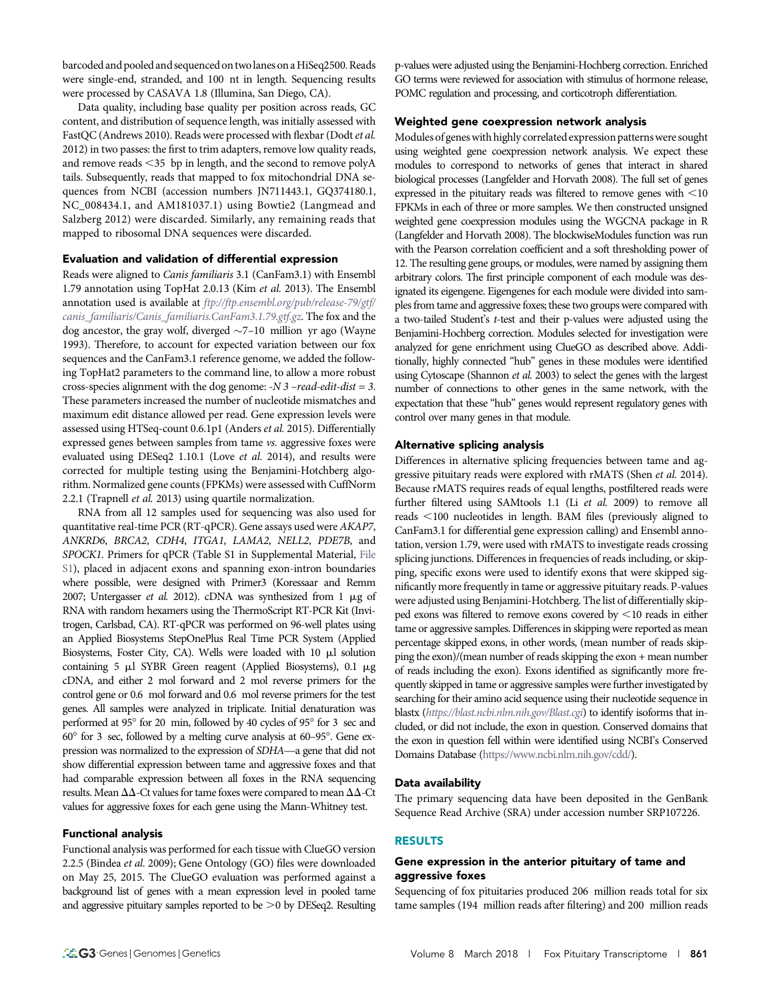barcoded and pooled and sequenced on two lanes on a HiSeq2500. Reads were single-end, stranded, and 100 nt in length. Sequencing results were processed by CASAVA 1.8 (Illumina, San Diego, CA).

Data quality, including base quality per position across reads, GC content, and distribution of sequence length, was initially assessed with FastQC (Andrews 2010). Reads were processed with flexbar (Dodt et al. 2012) in two passes: the first to trim adapters, remove low quality reads, and remove reads  $\leq$ 35 bp in length, and the second to remove polyA tails. Subsequently, reads that mapped to fox mitochondrial DNA sequences from NCBI (accession numbers JN711443.1, GQ374180.1, NC\_008434.1, and AM181037.1) using Bowtie2 (Langmead and Salzberg 2012) were discarded. Similarly, any remaining reads that mapped to ribosomal DNA sequences were discarded.

## Evaluation and validation of differential expression

Reads were aligned to Canis familiaris 3.1 (CanFam3.1) with Ensembl 1.79 annotation using TopHat 2.0.13 (Kim et al. 2013). The Ensembl annotation used is available at [ftp://ftp.ensembl.org/pub/release-79/gtf/](ftp://ftp.ensembl.org/pub/release-79/gtf/canis_familiaris/Canis_familiaris.CanFam3.1.79.gtf.gz) [canis\\_familiaris/Canis\\_familiaris.CanFam3.1.79.gtf.gz](ftp://ftp.ensembl.org/pub/release-79/gtf/canis_familiaris/Canis_familiaris.CanFam3.1.79.gtf.gz). The fox and the dog ancestor, the gray wolf, diverged  $\sim$ 7–10 million yr ago (Wayne 1993). Therefore, to account for expected variation between our fox sequences and the CanFam3.1 reference genome, we added the following TopHat2 parameters to the command line, to allow a more robust cross-species alignment with the dog genome:  $-N$  3 – read-edit-dist = 3. These parameters increased the number of nucleotide mismatches and maximum edit distance allowed per read. Gene expression levels were assessed using HTSeq-count 0.6.1p1 (Anders et al. 2015). Differentially expressed genes between samples from tame vs. aggressive foxes were evaluated using DESeq2 1.10.1 (Love et al. 2014), and results were corrected for multiple testing using the Benjamini-Hotchberg algorithm. Normalized gene counts (FPKMs) were assessed with CuffNorm 2.2.1 (Trapnell et al. 2013) using quartile normalization.

RNA from all 12 samples used for sequencing was also used for quantitative real-time PCR (RT-qPCR). Gene assays used were AKAP7, ANKRD6, BRCA2, CDH4, ITGA1, LAMA2, NELL2, PDE7B, and SPOCK1. Primers for qPCR (Table S1 in Supplemental Material, [File](http://www.g3journal.org/lookup/suppl/doi:10.1534/g3.117.300508/-/DC1/FileS1.pdf;) [S1](http://www.g3journal.org/lookup/suppl/doi:10.1534/g3.117.300508/-/DC1/FileS1.pdf;)), placed in adjacent exons and spanning exon-intron boundaries where possible, were designed with Primer3 (Koressaar and Remm 2007; Untergasser et al. 2012). cDNA was synthesized from  $1 \mu$ g of RNA with random hexamers using the ThermoScript RT-PCR Kit (Invitrogen, Carlsbad, CA). RT-qPCR was performed on 96-well plates using an Applied Biosystems StepOnePlus Real Time PCR System (Applied Biosystems, Foster City, CA). Wells were loaded with 10  $\mu$ l solution containing 5  $\mu$ l SYBR Green reagent (Applied Biosystems), 0.1  $\mu$ g cDNA, and either 2 mol forward and 2 mol reverse primers for the control gene or 0.6 mol forward and 0.6 mol reverse primers for the test genes. All samples were analyzed in triplicate. Initial denaturation was performed at 95° for 20 min, followed by 40 cycles of 95° for 3 sec and  $60^{\circ}$  for 3 sec, followed by a melting curve analysis at  $60-95^{\circ}$ . Gene expression was normalized to the expression of SDHA—a gene that did not show differential expression between tame and aggressive foxes and that had comparable expression between all foxes in the RNA sequencing results. Mean  $\Delta\Delta$ -Ct values for tame foxes were compared to mean  $\Delta\Delta$ -Ct values for aggressive foxes for each gene using the Mann-Whitney test.

#### Functional analysis

Functional analysis was performed for each tissue with ClueGO version 2.2.5 (Bindea et al. 2009); Gene Ontology (GO) files were downloaded on May 25, 2015. The ClueGO evaluation was performed against a background list of genes with a mean expression level in pooled tame and aggressive pituitary samples reported to be  $>0$  by DESeq2. Resulting

p-values were adjusted using the Benjamini-Hochberg correction. Enriched GO terms were reviewed for association with stimulus of hormone release, POMC regulation and processing, and corticotroph differentiation.

## Weighted gene coexpression network analysis

Modules of genes with highly correlated expression patterns were sought using weighted gene coexpression network analysis. We expect these modules to correspond to networks of genes that interact in shared biological processes (Langfelder and Horvath 2008). The full set of genes expressed in the pituitary reads was filtered to remove genes with  $\leq$ 10 FPKMs in each of three or more samples. We then constructed unsigned weighted gene coexpression modules using the WGCNA package in R (Langfelder and Horvath 2008). The blockwiseModules function was run with the Pearson correlation coefficient and a soft thresholding power of 12. The resulting gene groups, or modules, were named by assigning them arbitrary colors. The first principle component of each module was designated its eigengene. Eigengenes for each module were divided into samples from tame and aggressive foxes; these two groups were compared with a two-tailed Student's t-test and their p-values were adjusted using the Benjamini-Hochberg correction. Modules selected for investigation were analyzed for gene enrichment using ClueGO as described above. Additionally, highly connected "hub" genes in these modules were identified using Cytoscape (Shannon et al. 2003) to select the genes with the largest number of connections to other genes in the same network, with the expectation that these "hub" genes would represent regulatory genes with control over many genes in that module.

#### Alternative splicing analysis

Differences in alternative splicing frequencies between tame and aggressive pituitary reads were explored with rMATS (Shen et al. 2014). Because rMATS requires reads of equal lengths, postfiltered reads were further filtered using SAMtools 1.1 (Li et al. 2009) to remove all reads ,100 nucleotides in length. BAM files (previously aligned to CanFam3.1 for differential gene expression calling) and Ensembl annotation, version 1.79, were used with rMATS to investigate reads crossing splicing junctions. Differences in frequencies of reads including, or skipping, specific exons were used to identify exons that were skipped significantly more frequently in tame or aggressive pituitary reads. P-values were adjusted using Benjamini-Hotchberg. The list of differentially skipped exons was filtered to remove exons covered by  $<$  10 reads in either tame or aggressive samples. Differences in skipping were reported as mean percentage skipped exons, in other words, (mean number of reads skipping the exon)/(mean number of reads skipping the exon + mean number of reads including the exon). Exons identified as significantly more frequently skipped in tame or aggressive samples were further investigated by searching for their amino acid sequence using their nucleotide sequence in blastx (<https://blast.ncbi.nlm.nih.gov/Blast.cgi>) to identify isoforms that included, or did not include, the exon in question. Conserved domains that the exon in question fell within were identified using NCBI's Conserved Domains Database [\(https://www.ncbi.nlm.nih.gov/cdd/\)](https://www.ncbi.nlm.nih.gov/cdd/).

## Data availability

The primary sequencing data have been deposited in the GenBank Sequence Read Archive (SRA) under accession number SRP107226.

## RESULTS

## Gene expression in the anterior pituitary of tame and aggressive foxes

Sequencing of fox pituitaries produced 206 million reads total for six tame samples (194 million reads after filtering) and 200 million reads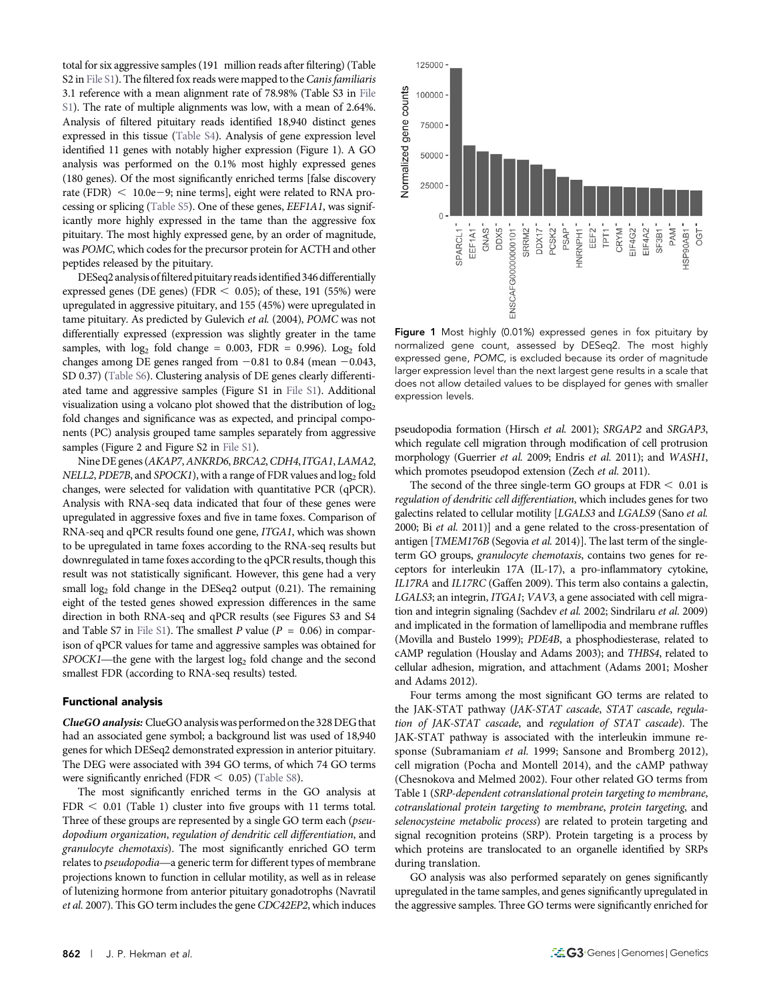total for six aggressive samples (191 million reads after filtering) (Table S2 in [File S1](http://www.g3journal.org/lookup/suppl/doi:10.1534/g3.117.300508/-/DC1/FileS1.pdf;)). The filtered fox reads were mapped to the *Canis familiaris* 3.1 reference with a mean alignment rate of 78.98% (Table S3 in [File](http://www.g3journal.org/lookup/suppl/doi:10.1534/g3.117.300508/-/DC1/FileS1.pdf;) [S1](http://www.g3journal.org/lookup/suppl/doi:10.1534/g3.117.300508/-/DC1/FileS1.pdf;)). The rate of multiple alignments was low, with a mean of 2.64%. Analysis of filtered pituitary reads identified 18,940 distinct genes expressed in this tissue [\(Table S4](http://www.g3journal.org/lookup/suppl/doi:10.1534/g3.117.300508/-/DC1/TableS4.xlsx;)). Analysis of gene expression level identified 11 genes with notably higher expression (Figure 1). A GO analysis was performed on the 0.1% most highly expressed genes (180 genes). Of the most significantly enriched terms [false discovery rate (FDR)  $<$  10.0e-9; nine terms], eight were related to RNA processing or splicing ([Table S5\)](http://www.g3journal.org/lookup/suppl/doi:10.1534/g3.117.300508/-/DC1/TableS5.xlsx;). One of these genes, EEF1A1, was significantly more highly expressed in the tame than the aggressive fox pituitary. The most highly expressed gene, by an order of magnitude, was POMC, which codes for the precursor protein for ACTH and other peptides released by the pituitary.

DESeq2 analysis of filtered pituitary reads identified 346 differentially expressed genes (DE genes) (FDR  $<$  0.05); of these, 191 (55%) were upregulated in aggressive pituitary, and 155 (45%) were upregulated in tame pituitary. As predicted by Gulevich et al. (2004), POMC was not differentially expressed (expression was slightly greater in the tame samples, with  $log_2$  fold change = 0.003, FDR = 0.996). Log<sub>2</sub> fold changes among DE genes ranged from  $-0.81$  to 0.84 (mean  $-0.043$ , SD 0.37) ([Table S6\)](http://www.g3journal.org/lookup/suppl/doi:10.1534/g3.117.300508/-/DC1/TableS6.xlsx;). Clustering analysis of DE genes clearly differentiated tame and aggressive samples (Figure S1 in [File S1](http://www.g3journal.org/lookup/suppl/doi:10.1534/g3.117.300508/-/DC1/FileS1.pdf;)). Additional visualization using a volcano plot showed that the distribution of log<sub>2</sub> fold changes and significance was as expected, and principal components (PC) analysis grouped tame samples separately from aggressive samples (Figure 2 and Figure S2 in [File S1\)](http://www.g3journal.org/lookup/suppl/doi:10.1534/g3.117.300508/-/DC1/FileS1.pdf;).

Nine DE genes (AKAP7,ANKRD6, BRCA2,CDH4,ITGA1, LAMA2, NELL2, PDE7B, and SPOCK1), with a range of FDR values and  $log<sub>2</sub>$  fold changes, were selected for validation with quantitative PCR (qPCR). Analysis with RNA-seq data indicated that four of these genes were upregulated in aggressive foxes and five in tame foxes. Comparison of RNA-seq and qPCR results found one gene, ITGA1, which was shown to be upregulated in tame foxes according to the RNA-seq results but downregulated in tame foxes according to the qPCR results, though this result was not statistically significant. However, this gene had a very small log<sub>2</sub> fold change in the DESeq2 output (0.21). The remaining eight of the tested genes showed expression differences in the same direction in both RNA-seq and qPCR results (see Figures S3 and S4 and Table S7 in [File S1](http://www.g3journal.org/lookup/suppl/doi:10.1534/g3.117.300508/-/DC1/FileS1.pdf;)). The smallest P value ( $P = 0.06$ ) in comparison of qPCR values for tame and aggressive samples was obtained for  $SPOCK1$ —the gene with the largest  $log<sub>2</sub>$  fold change and the second smallest FDR (according to RNA-seq results) tested.

## Functional analysis

ClueGO analysis: ClueGO analysis was performed on the 328 DEG that had an associated gene symbol; a background list was used of 18,940 genes for which DESeq2 demonstrated expression in anterior pituitary. The DEG were associated with 394 GO terms, of which 74 GO terms were significantly enriched (FDR  $<$  0.05) [\(Table S8](http://www.g3journal.org/lookup/suppl/doi:10.1534/g3.117.300508/-/DC1/TableS8.xlsx;)).

The most significantly enriched terms in the GO analysis at  $FDR < 0.01$  (Table 1) cluster into five groups with 11 terms total. Three of these groups are represented by a single GO term each (pseudopodium organization, regulation of dendritic cell differentiation, and granulocyte chemotaxis). The most significantly enriched GO term relates to pseudopodia—a generic term for different types of membrane projections known to function in cellular motility, as well as in release of lutenizing hormone from anterior pituitary gonadotrophs (Navratil et al. 2007). This GO term includes the gene CDC42EP2, which induces



Figure 1 Most highly (0.01%) expressed genes in fox pituitary by normalized gene count, assessed by DESeq2. The most highly expressed gene, POMC, is excluded because its order of magnitude larger expression level than the next largest gene results in a scale that does not allow detailed values to be displayed for genes with smaller expression levels.

pseudopodia formation (Hirsch et al. 2001); SRGAP2 and SRGAP3, which regulate cell migration through modification of cell protrusion morphology (Guerrier et al. 2009; Endris et al. 2011); and WASH1, which promotes pseudopod extension (Zech et al. 2011).

The second of the three single-term GO groups at  $FDR < 0.01$  is regulation of dendritic cell differentiation, which includes genes for two galectins related to cellular motility [LGALS3 and LGALS9 (Sano et al. 2000; Bi et al. 2011)] and a gene related to the cross-presentation of antigen [*TMEM176B* (Segovia *et al.* 2014)]. The last term of the singleterm GO groups, granulocyte chemotaxis, contains two genes for receptors for interleukin 17A (IL-17), a pro-inflammatory cytokine, IL17RA and IL17RC (Gaffen 2009). This term also contains a galectin, LGALS3; an integrin, ITGA1; VAV3, a gene associated with cell migration and integrin signaling (Sachdev et al. 2002; Sindrilaru et al. 2009) and implicated in the formation of lamellipodia and membrane ruffles (Movilla and Bustelo 1999); PDE4B, a phosphodiesterase, related to cAMP regulation (Houslay and Adams 2003); and THBS4, related to cellular adhesion, migration, and attachment (Adams 2001; Mosher and Adams 2012).

Four terms among the most significant GO terms are related to the JAK-STAT pathway (JAK-STAT cascade, STAT cascade, regulation of JAK-STAT cascade, and regulation of STAT cascade). The JAK-STAT pathway is associated with the interleukin immune response (Subramaniam et al. 1999; Sansone and Bromberg 2012), cell migration (Pocha and Montell 2014), and the cAMP pathway (Chesnokova and Melmed 2002). Four other related GO terms from Table 1 (SRP-dependent cotranslational protein targeting to membrane, cotranslational protein targeting to membrane, protein targeting, and selenocysteine metabolic process) are related to protein targeting and signal recognition proteins (SRP). Protein targeting is a process by which proteins are translocated to an organelle identified by SRPs during translation.

GO analysis was also performed separately on genes significantly upregulated in the tame samples, and genes significantly upregulated in the aggressive samples. Three GO terms were significantly enriched for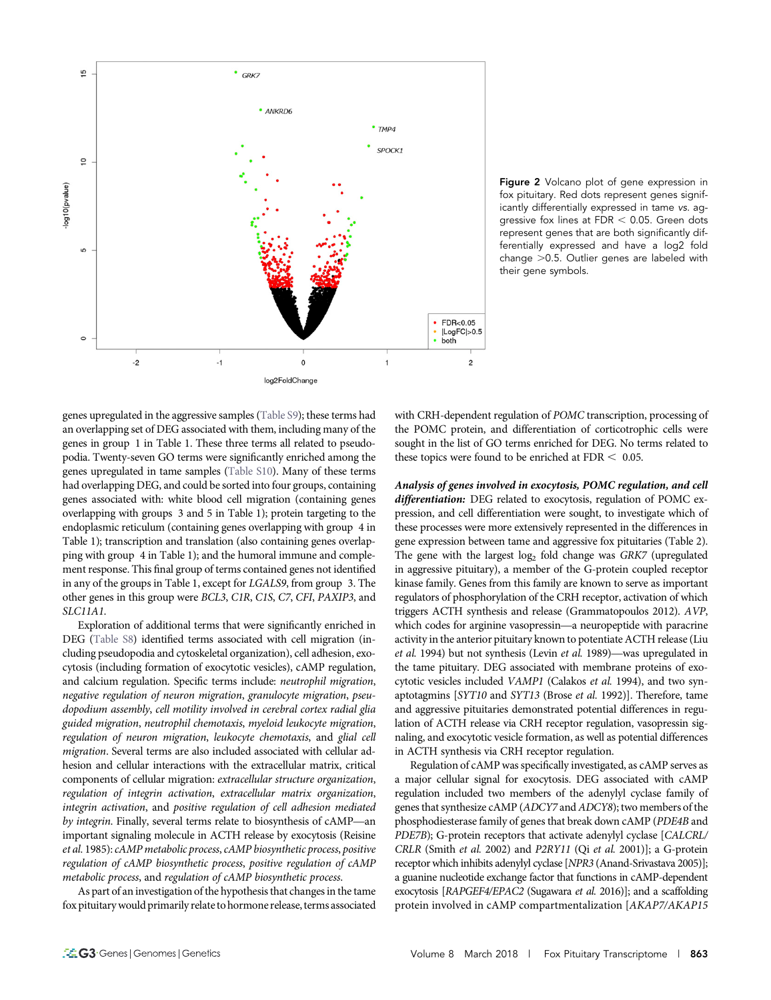

Figure 2 Volcano plot of gene expression in fox pituitary. Red dots represent genes significantly differentially expressed in tame vs. aggressive fox lines at  $FDR < 0.05$ . Green dots represent genes that are both significantly differentially expressed and have a log2 fold change  $>0.5$ . Outlier genes are labeled with their gene symbols.

genes upregulated in the aggressive samples ([Table S9](http://www.g3journal.org/lookup/suppl/doi:10.1534/g3.117.300508/-/DC1/TableS9.xlsx;)); these terms had an overlapping set of DEG associated with them, including many of the genes in group 1 in Table 1. These three terms all related to pseudopodia. Twenty-seven GO terms were significantly enriched among the genes upregulated in tame samples [\(Table S10](http://www.g3journal.org/lookup/suppl/doi:10.1534/g3.117.300508/-/DC1/TableS10.xlsx;)). Many of these terms had overlapping DEG, and could be sorted into four groups, containing genes associated with: white blood cell migration (containing genes overlapping with groups 3 and 5 in Table 1); protein targeting to the endoplasmic reticulum (containing genes overlapping with group 4 in Table 1); transcription and translation (also containing genes overlapping with group 4 in Table 1); and the humoral immune and complement response. This final group of terms contained genes not identified in any of the groups in Table 1, except for LGALS9, from group 3. The other genes in this group were BCL3, C1R, C1S, C7, CFI, PAXIP3, and SLC11A1.

Exploration of additional terms that were significantly enriched in DEG [\(Table S8](http://www.g3journal.org/lookup/suppl/doi:10.1534/g3.117.300508/-/DC1/TableS8.xlsx;)) identified terms associated with cell migration (including pseudopodia and cytoskeletal organization), cell adhesion, exocytosis (including formation of exocytotic vesicles), cAMP regulation, and calcium regulation. Specific terms include: neutrophil migration, negative regulation of neuron migration, granulocyte migration, pseudopodium assembly, cell motility involved in cerebral cortex radial glia guided migration, neutrophil chemotaxis, myeloid leukocyte migration, regulation of neuron migration, leukocyte chemotaxis, and glial cell migration. Several terms are also included associated with cellular adhesion and cellular interactions with the extracellular matrix, critical components of cellular migration: extracellular structure organization, regulation of integrin activation, extracellular matrix organization, integrin activation, and positive regulation of cell adhesion mediated by integrin. Finally, several terms relate to biosynthesis of cAMP—an important signaling molecule in ACTH release by exocytosis (Reisine et al. 1985): cAMP metabolic process, cAMP biosynthetic process, positive regulation of cAMP biosynthetic process, positive regulation of cAMP metabolic process, and regulation of cAMP biosynthetic process.

As part of an investigation of the hypothesis that changes in the tame fox pituitarywould primarily relate to hormone release, terms associated

with CRH-dependent regulation of POMC transcription, processing of the POMC protein, and differentiation of corticotrophic cells were sought in the list of GO terms enriched for DEG. No terms related to these topics were found to be enriched at  $FDR < 0.05$ .

Analysis of genes involved in exocytosis, POMC regulation, and cell differentiation: DEG related to exocytosis, regulation of POMC expression, and cell differentiation were sought, to investigate which of these processes were more extensively represented in the differences in gene expression between tame and aggressive fox pituitaries (Table 2). The gene with the largest  $log<sub>2</sub>$  fold change was GRK7 (upregulated in aggressive pituitary), a member of the G-protein coupled receptor kinase family. Genes from this family are known to serve as important regulators of phosphorylation of the CRH receptor, activation of which triggers ACTH synthesis and release (Grammatopoulos 2012). AVP, which codes for arginine vasopressin—a neuropeptide with paracrine activity in the anterior pituitary known to potentiate ACTH release (Liu et al. 1994) but not synthesis (Levin et al. 1989)—was upregulated in the tame pituitary. DEG associated with membrane proteins of exocytotic vesicles included VAMP1 (Calakos et al. 1994), and two synaptotagmins [SYT10 and SYT13 (Brose et al. 1992)]. Therefore, tame and aggressive pituitaries demonstrated potential differences in regulation of ACTH release via CRH receptor regulation, vasopressin signaling, and exocytotic vesicle formation, as well as potential differences in ACTH synthesis via CRH receptor regulation.

Regulation of cAMP was specifically investigated, as cAMP serves as a major cellular signal for exocytosis. DEG associated with cAMP regulation included two members of the adenylyl cyclase family of genes that synthesize cAMP (ADCY7 and ADCY8); two members of the phosphodiesterase family of genes that break down cAMP (PDE4B and PDE7B); G-protein receptors that activate adenylyl cyclase [CALCRL/ CRLR (Smith et al. 2002) and P2RY11 (Qi et al. 2001)]; a G-protein receptor which inhibits adenylyl cyclase [NPR3 (Anand-Srivastava 2005)]; a guanine nucleotide exchange factor that functions in cAMP-dependent exocytosis [RAPGEF4/EPAC2 (Sugawara et al. 2016)]; and a scaffolding protein involved in cAMP compartmentalization [AKAP7/AKAP15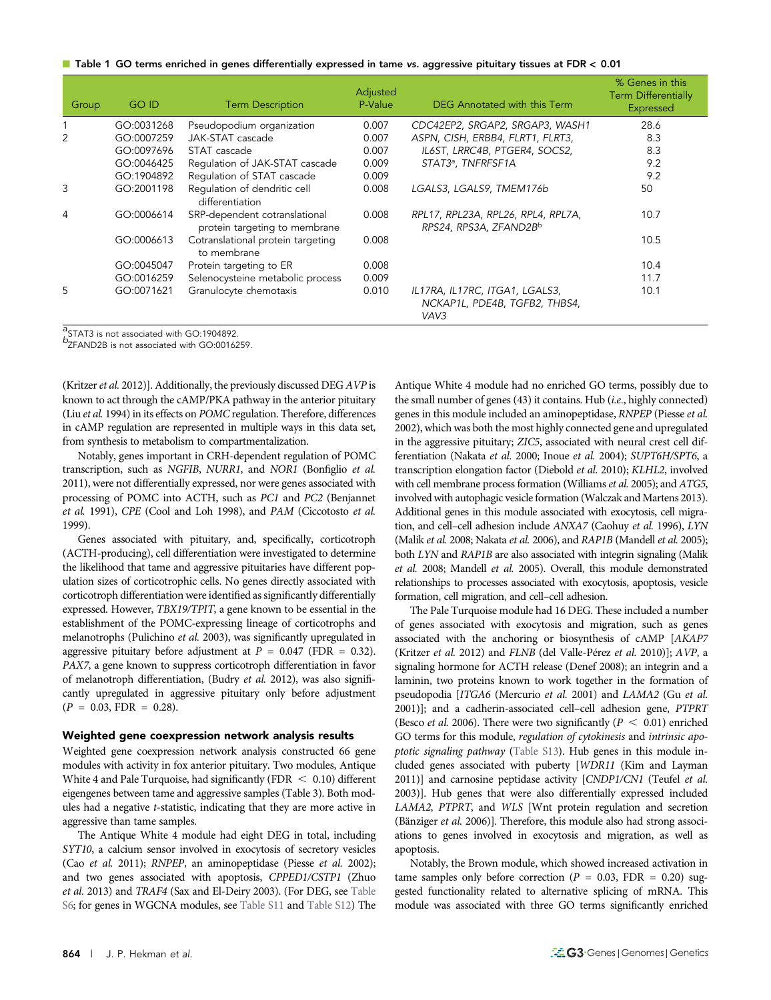| $\blacksquare$ Table 1 GO terms enriched in genes differentially expressed in tame vs. aggressive pituitary tissues at FDR < 0.01 |  |  |
|-----------------------------------------------------------------------------------------------------------------------------------|--|--|
|                                                                                                                                   |  |  |

| Group | <b>GO ID</b> | <b>Term Description</b>                                        | Adjusted<br>P-Value | DEG Annotated with this Term                                            | % Genes in this<br><b>Term Differentially</b><br>Expressed |
|-------|--------------|----------------------------------------------------------------|---------------------|-------------------------------------------------------------------------|------------------------------------------------------------|
|       | GO:0031268   | Pseudopodium organization                                      | 0.007               | CDC42EP2, SRGAP2, SRGAP3, WASH1                                         | 28.6                                                       |
| 2     | GO:0007259   | JAK-STAT cascade                                               | 0.007               | ASPN, CISH, ERBB4, FLRT1, FLRT3,                                        | 8.3                                                        |
|       | GO:0097696   | STAT cascade                                                   | 0.007               | IL6ST, LRRC4B, PTGER4, SOCS2,                                           | 8.3                                                        |
|       | GO:0046425   | Regulation of JAK-STAT cascade                                 | 0.009               | STAT3ª, TNFRFSF1A                                                       | 9.2                                                        |
|       | GO:1904892   | Regulation of STAT cascade                                     | 0.009               |                                                                         | 9.2                                                        |
| 3     | GO:2001198   | Regulation of dendritic cell<br>differentiation                | 0.008               | LGALS3, LGALS9, TMEM176b                                                | 50                                                         |
| 4     | GO:0006614   | SRP-dependent cotranslational<br>protein targeting to membrane | 0.008               | RPL17, RPL23A, RPL26, RPL4, RPL7A,<br>RPS24, RPS3A, ZFAND2Bb            | 10.7                                                       |
|       | GO:0006613   | Cotranslational protein targeting<br>to membrane               | 0.008               |                                                                         | 10.5                                                       |
|       | GO:0045047   | Protein targeting to ER                                        | 0.008               |                                                                         | 10.4                                                       |
|       | GO:0016259   | Selenocysteine metabolic process                               | 0.009               |                                                                         | 11.7                                                       |
| 5     | GO:0071621   | Granulocyte chemotaxis                                         | 0.010               | IL17RA, IL17RC, ITGA1, LGALS3,<br>NCKAP1L, PDE4B, TGFB2, THBS4,<br>VAV3 | 10.1                                                       |

 $\mathrm{^{a}S}$ TAT3 is not associated with GO:1904892.

 $\frac{1}{2}$ STAT3 is not associated with GO:1904892.<br> $\frac{b}{2}$ ZFAND2B is not associated with GO:0016259.

(Kritzer et al. 2012)]. Additionally, the previously discussed DEG  $AVP$  is known to act through the cAMP/PKA pathway in the anterior pituitary (Liu et al. 1994) in its effects on POMC regulation. Therefore, differences in cAMP regulation are represented in multiple ways in this data set, from synthesis to metabolism to compartmentalization.

Notably, genes important in CRH-dependent regulation of POMC transcription, such as NGFIB, NURR1, and NOR1 (Bonfiglio et al. 2011), were not differentially expressed, nor were genes associated with processing of POMC into ACTH, such as PC1 and PC2 (Benjannet et al. 1991), CPE (Cool and Loh 1998), and PAM (Ciccotosto et al. 1999).

Genes associated with pituitary, and, specifically, corticotroph (ACTH-producing), cell differentiation were investigated to determine the likelihood that tame and aggressive pituitaries have different population sizes of corticotrophic cells. No genes directly associated with corticotroph differentiation were identified as significantly differentially expressed. However, TBX19/TPIT, a gene known to be essential in the establishment of the POMC-expressing lineage of corticotrophs and melanotrophs (Pulichino et al. 2003), was significantly upregulated in aggressive pituitary before adjustment at  $P = 0.047$  (FDR = 0.32). PAX7, a gene known to suppress corticotroph differentiation in favor of melanotroph differentiation, (Budry et al. 2012), was also significantly upregulated in aggressive pituitary only before adjustment  $(P = 0.03, FDR = 0.28).$ 

#### Weighted gene coexpression network analysis results

Weighted gene coexpression network analysis constructed 66 gene modules with activity in fox anterior pituitary. Two modules, Antique White 4 and Pale Turquoise, had significantly (FDR  $\leq$  0.10) different eigengenes between tame and aggressive samples (Table 3). Both modules had a negative t-statistic, indicating that they are more active in aggressive than tame samples.

The Antique White 4 module had eight DEG in total, including SYT10, a calcium sensor involved in exocytosis of secretory vesicles (Cao et al. 2011); RNPEP, an aminopeptidase (Piesse et al. 2002); and two genes associated with apoptosis, CPPED1/CSTP1 (Zhuo et al. 2013) and TRAF4 (Sax and El-Deiry 2003). (For DEG, see [Table](http://www.g3journal.org/lookup/suppl/doi:10.1534/g3.117.300508/-/DC1/TableS6.xlsx;) [S6](http://www.g3journal.org/lookup/suppl/doi:10.1534/g3.117.300508/-/DC1/TableS6.xlsx;); for genes in WGCNA modules, see [Table S11](http://www.g3journal.org/lookup/suppl/doi:10.1534/g3.117.300508/-/DC1/TableS11.xlsx;) and [Table S12\)](http://www.g3journal.org/lookup/suppl/doi:10.1534/g3.117.300508/-/DC1/TableS12.xlsx;) The

Antique White 4 module had no enriched GO terms, possibly due to the small number of genes (43) it contains. Hub (i.e., highly connected) genes in this module included an aminopeptidase, RNPEP (Piesse et al. 2002), which was both the most highly connected gene and upregulated in the aggressive pituitary; ZIC5, associated with neural crest cell differentiation (Nakata et al. 2000; Inoue et al. 2004); SUPT6H/SPT6, a transcription elongation factor (Diebold et al. 2010); KLHL2, involved with cell membrane process formation (Williams et al. 2005); and ATG5, involved with autophagic vesicle formation (Walczak and Martens 2013). Additional genes in this module associated with exocytosis, cell migration, and cell-cell adhesion include ANXA7 (Caohuy et al. 1996), LYN (Malik et al. 2008; Nakata et al. 2006), and RAP1B (Mandell et al. 2005); both LYN and RAP1B are also associated with integrin signaling (Malik et al. 2008; Mandell et al. 2005). Overall, this module demonstrated relationships to processes associated with exocytosis, apoptosis, vesicle formation, cell migration, and cell–cell adhesion.

The Pale Turquoise module had 16 DEG. These included a number of genes associated with exocytosis and migration, such as genes associated with the anchoring or biosynthesis of cAMP [AKAP7 (Kritzer et al. 2012) and FLNB (del Valle-Pérez et al. 2010)]; AVP, a signaling hormone for ACTH release (Denef 2008); an integrin and a laminin, two proteins known to work together in the formation of pseudopodia [ITGA6 (Mercurio et al. 2001) and LAMA2 (Gu et al. 2001)]; and a cadherin-associated cell–cell adhesion gene, PTPRT (Besco et al. 2006). There were two significantly ( $P < 0.01$ ) enriched GO terms for this module, regulation of cytokinesis and intrinsic apoptotic signaling pathway ([Table S13\)](http://www.g3journal.org/lookup/suppl/doi:10.1534/g3.117.300508/-/DC1/TableS13.xlsx;). Hub genes in this module included genes associated with puberty [WDR11 (Kim and Layman 2011)] and carnosine peptidase activity [CNDP1/CN1 (Teufel et al. 2003)]. Hub genes that were also differentially expressed included LAMA2, PTPRT, and WLS [Wnt protein regulation and secretion (Bänziger et al. 2006)]. Therefore, this module also had strong associations to genes involved in exocytosis and migration, as well as apoptosis.

Notably, the Brown module, which showed increased activation in tame samples only before correction ( $P = 0.03$ , FDR = 0.20) suggested functionality related to alternative splicing of mRNA. This module was associated with three GO terms significantly enriched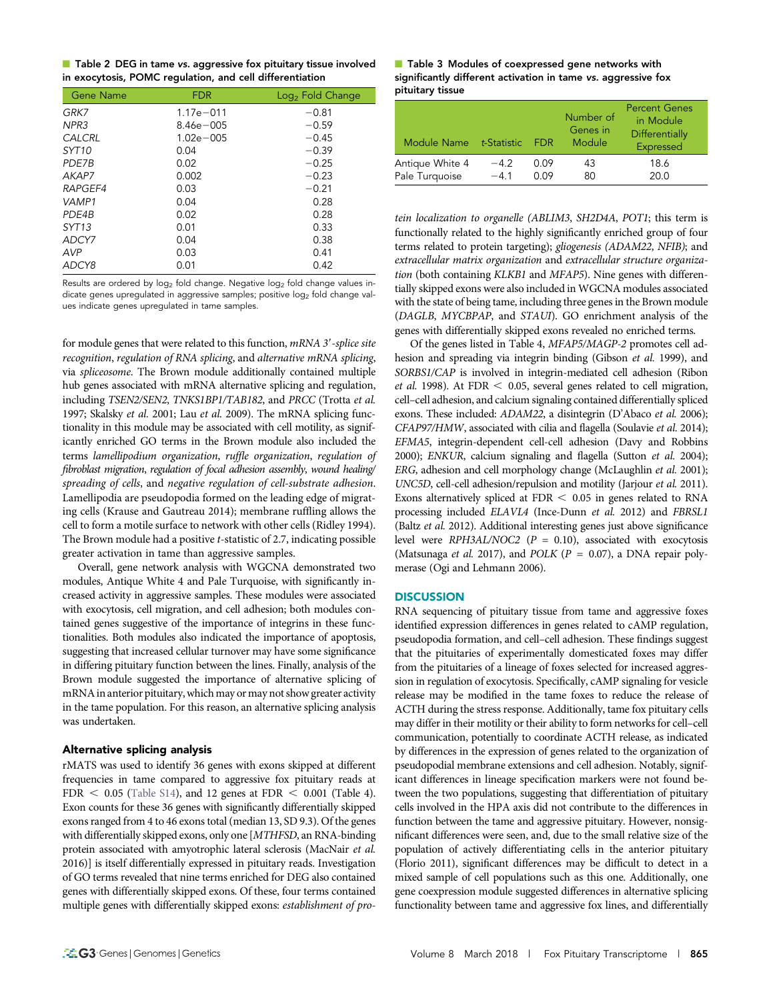|  |  | Table 2 DEG in tame vs. aggressive fox pituitary tissue involved |  |
|--|--|------------------------------------------------------------------|--|
|  |  | in exocytosis, POMC regulation, and cell differentiation         |  |

| Gene Name         | <b>FDR</b>    | Log <sub>2</sub> Fold Change |
|-------------------|---------------|------------------------------|
| GRK7              | $1.17e - 011$ | $-0.81$                      |
| NPR3              | $8.46e - 005$ | $-0.59$                      |
| CALCRL            | $1.02e - 005$ | $-0.45$                      |
| SYT <sub>10</sub> | 0.04          | $-0.39$                      |
| PDE7B             | 0.02          | $-0.25$                      |
| AKAP7             | 0.002         | $-0.23$                      |
| RAPGEF4           | 0.03          | $-0.21$                      |
| VAMP1             | 0.04          | 0.28                         |
| PDE4B             | 0.02          | 0.28                         |
| SYT <sub>13</sub> | 0.01          | 0.33                         |
| ADCY7             | 0.04          | 0.38                         |
| AVP               | 0.03          | 0.41                         |
| ADCY8             | 0.01          | 0.42                         |

Results are ordered by  $log_2$  fold change. Negative  $log_2$  fold change values indicate genes upregulated in aggressive samples; positive  $log<sub>2</sub>$  fold change values indicate genes upregulated in tame samples.

for module genes that were related to this function, mRNA 3'-splice site recognition, regulation of RNA splicing, and alternative mRNA splicing, via spliceosome. The Brown module additionally contained multiple hub genes associated with mRNA alternative splicing and regulation, including TSEN2/SEN2, TNKS1BP1/TAB182, and PRCC (Trotta et al. 1997; Skalsky et al. 2001; Lau et al. 2009). The mRNA splicing functionality in this module may be associated with cell motility, as significantly enriched GO terms in the Brown module also included the terms lamellipodium organization, ruffle organization, regulation of fibroblast migration, regulation of focal adhesion assembly, wound healing/ spreading of cells, and negative regulation of cell-substrate adhesion. Lamellipodia are pseudopodia formed on the leading edge of migrating cells (Krause and Gautreau 2014); membrane ruffling allows the cell to form a motile surface to network with other cells (Ridley 1994). The Brown module had a positive t-statistic of 2.7, indicating possible greater activation in tame than aggressive samples.

Overall, gene network analysis with WGCNA demonstrated two modules, Antique White 4 and Pale Turquoise, with significantly increased activity in aggressive samples. These modules were associated with exocytosis, cell migration, and cell adhesion; both modules contained genes suggestive of the importance of integrins in these functionalities. Both modules also indicated the importance of apoptosis, suggesting that increased cellular turnover may have some significance in differing pituitary function between the lines. Finally, analysis of the Brown module suggested the importance of alternative splicing of mRNA in anterior pituitary, which may or may not show greater activity in the tame population. For this reason, an alternative splicing analysis was undertaken.

## Alternative splicing analysis

rMATS was used to identify 36 genes with exons skipped at different frequencies in tame compared to aggressive fox pituitary reads at FDR  $<$  0.05 [\(Table S14](http://www.g3journal.org/lookup/suppl/doi:10.1534/g3.117.300508/-/DC1/TableS14.xlsx;)), and 12 genes at FDR  $<$  0.001 (Table 4). Exon counts for these 36 genes with significantly differentially skipped exons ranged from 4 to 46 exons total (median 13, SD 9.3). Of the genes with differentially skipped exons, only one [MTHFSD, an RNA-binding protein associated with amyotrophic lateral sclerosis (MacNair et al. 2016)] is itself differentially expressed in pituitary reads. Investigation of GO terms revealed that nine terms enriched for DEG also contained genes with differentially skipped exons. Of these, four terms contained multiple genes with differentially skipped exons: establishment of pro-

#### ■ Table 3 Modules of coexpressed gene networks with significantly different activation in tame vs. aggressive fox pituitary tissue

| Module Name     | t-Statistic | - FDR. | Number of<br>Genes in<br>Module | <b>Percent Genes</b><br>in Module<br>Differentially<br>Expressed |
|-----------------|-------------|--------|---------------------------------|------------------------------------------------------------------|
| Antique White 4 | $-4.2$      | 0.09   | 43                              | 18.6                                                             |
| Pale Turquoise  | $-41$       | 0.09   | 80                              | 20.0                                                             |

tein localization to organelle (ABLIM3, SH2D4A, POT1; this term is functionally related to the highly significantly enriched group of four terms related to protein targeting); gliogenesis (ADAM22, NFIB); and extracellular matrix organization and extracellular structure organization (both containing KLKB1 and MFAP5). Nine genes with differentially skipped exons were also included in WGCNA modules associated with the state of being tame, including three genes in the Brown module (DAGLB, MYCBPAP, and STAUI). GO enrichment analysis of the genes with differentially skipped exons revealed no enriched terms.

Of the genes listed in Table 4, MFAP5/MAGP-2 promotes cell adhesion and spreading via integrin binding (Gibson et al. 1999), and SORBS1/CAP is involved in integrin-mediated cell adhesion (Ribon et al. 1998). At FDR  $<$  0.05, several genes related to cell migration, cell–cell adhesion, and calcium signaling contained differentially spliced exons. These included: ADAM22, a disintegrin (D'Abaco et al. 2006); CFAP97/HMW, associated with cilia and flagella (Soulavie et al. 2014); EFMA5, integrin-dependent cell-cell adhesion (Davy and Robbins 2000); ENKUR, calcium signaling and flagella (Sutton et al. 2004); ERG, adhesion and cell morphology change (McLaughlin et al. 2001); UNC5D, cell-cell adhesion/repulsion and motility (Jarjour et al. 2011). Exons alternatively spliced at  $FDR < 0.05$  in genes related to RNA processing included ELAVL4 (Ince-Dunn et al. 2012) and FBRSL1 (Baltz et al. 2012). Additional interesting genes just above significance level were RPH3AL/NOC2 ( $P = 0.10$ ), associated with exocytosis (Matsunaga et al. 2017), and POLK ( $P = 0.07$ ), a DNA repair polymerase (Ogi and Lehmann 2006).

## **DISCUSSION**

RNA sequencing of pituitary tissue from tame and aggressive foxes identified expression differences in genes related to cAMP regulation, pseudopodia formation, and cell–cell adhesion. These findings suggest that the pituitaries of experimentally domesticated foxes may differ from the pituitaries of a lineage of foxes selected for increased aggression in regulation of exocytosis. Specifically, cAMP signaling for vesicle release may be modified in the tame foxes to reduce the release of ACTH during the stress response. Additionally, tame fox pituitary cells may differ in their motility or their ability to form networks for cell–cell communication, potentially to coordinate ACTH release, as indicated by differences in the expression of genes related to the organization of pseudopodial membrane extensions and cell adhesion. Notably, significant differences in lineage specification markers were not found between the two populations, suggesting that differentiation of pituitary cells involved in the HPA axis did not contribute to the differences in function between the tame and aggressive pituitary. However, nonsignificant differences were seen, and, due to the small relative size of the population of actively differentiating cells in the anterior pituitary (Florio 2011), significant differences may be difficult to detect in a mixed sample of cell populations such as this one. Additionally, one gene coexpression module suggested differences in alternative splicing functionality between tame and aggressive fox lines, and differentially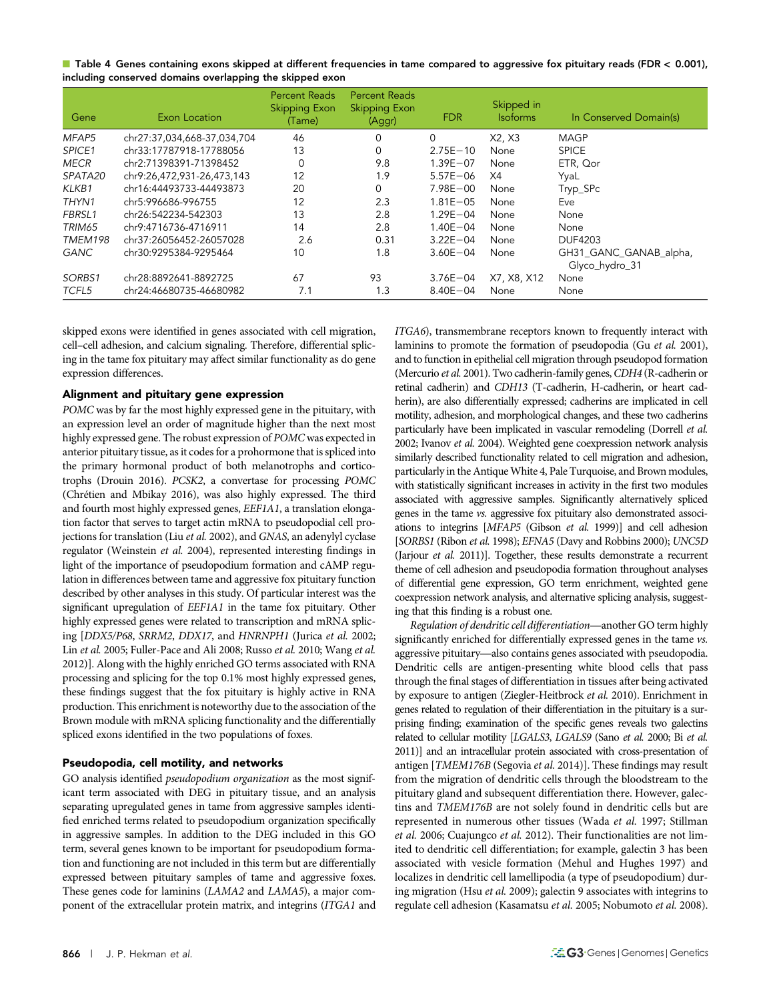| ■ Table 4 Genes containing exons skipped at different frequencies in tame compared to aggressive fox pituitary reads (FDR < 0.001), |  |
|-------------------------------------------------------------------------------------------------------------------------------------|--|
| including conserved domains overlapping the skipped exon                                                                            |  |

| Gene        | Exon Location               | <b>Percent Reads</b><br><b>Skipping Exon</b><br>(Tame) | <b>Percent Reads</b><br><b>Skipping Exon</b><br>(Aggr) | <b>FDR</b>   | Skipped in<br><b>Isoforms</b> | In Conserved Domain(s)                   |
|-------------|-----------------------------|--------------------------------------------------------|--------------------------------------------------------|--------------|-------------------------------|------------------------------------------|
| MFAP5       | chr27:37.034.668-37.034.704 | 46                                                     | 0                                                      | 0            | X2, X3                        | <b>MAGP</b>                              |
| SPICE1      | chr33:17787918-17788056     | 13                                                     | 0                                                      | $2.75E - 10$ | None                          | <b>SPICE</b>                             |
| <b>MECR</b> | chr2:71398391-71398452      | $\Omega$                                               | 9.8                                                    | $1.39E - 07$ | None                          | ETR, Qor                                 |
| SPATA20     | chr9:26,472,931-26,473,143  | 12                                                     | 1.9                                                    | $5.57E - 06$ | X4                            | YyaL                                     |
| KLKB1       | chr16:44493733-44493873     | 20                                                     | 0                                                      | $7.98E - 00$ | None                          | Tryp_SPc                                 |
| THYN1       | chr5:996686-996755          | 12                                                     | 2.3                                                    | $1.81E - 05$ | None                          | Eve                                      |
| FBRSL1      | chr26:542234-542303         | 13                                                     | 2.8                                                    | $1.29E - 04$ | None                          | None                                     |
| TRIM65      | chr9:4716736-4716911        | 14                                                     | 2.8                                                    | $1.40E - 04$ | None                          | None                                     |
| TMEM198     | chr37:26056452-26057028     | 2.6                                                    | 0.31                                                   | $3.22E - 04$ | None                          | DUF4203                                  |
| <b>GANC</b> | chr30:9295384-9295464       | 10                                                     | 1.8                                                    | $3.60E - 04$ | None                          | GH31_GANC_GANAB_alpha,<br>Glyco_hydro_31 |
| SORBS1      | chr28:8892641-8892725       | 67                                                     | 93                                                     | $3.76E - 04$ | X7, X8, X12                   | None                                     |
| TCFL5       | chr24:46680735-46680982     | 7.1                                                    | 1.3                                                    | $8.40E - 04$ | None                          | None                                     |

skipped exons were identified in genes associated with cell migration, cell–cell adhesion, and calcium signaling. Therefore, differential splicing in the tame fox pituitary may affect similar functionality as do gene expression differences.

## Alignment and pituitary gene expression

POMC was by far the most highly expressed gene in the pituitary, with an expression level an order of magnitude higher than the next most highly expressed gene. The robust expression of POMC was expected in anterior pituitary tissue, as it codes for a prohormone that is spliced into the primary hormonal product of both melanotrophs and corticotrophs (Drouin 2016). PCSK2, a convertase for processing POMC (Chrétien and Mbikay 2016), was also highly expressed. The third and fourth most highly expressed genes, EEF1A1, a translation elongation factor that serves to target actin mRNA to pseudopodial cell projections for translation (Liu et al. 2002), and GNAS, an adenylyl cyclase regulator (Weinstein et al. 2004), represented interesting findings in light of the importance of pseudopodium formation and cAMP regulation in differences between tame and aggressive fox pituitary function described by other analyses in this study. Of particular interest was the significant upregulation of EEF1A1 in the tame fox pituitary. Other highly expressed genes were related to transcription and mRNA splicing [DDX5/P68, SRRM2, DDX17, and HNRNPH1 (Jurica et al. 2002; Lin et al. 2005; Fuller-Pace and Ali 2008; Russo et al. 2010; Wang et al. 2012)]. Along with the highly enriched GO terms associated with RNA processing and splicing for the top 0.1% most highly expressed genes, these findings suggest that the fox pituitary is highly active in RNA production. This enrichment is noteworthy due to the association of the Brown module with mRNA splicing functionality and the differentially spliced exons identified in the two populations of foxes.

## Pseudopodia, cell motility, and networks

GO analysis identified *pseudopodium organization* as the most significant term associated with DEG in pituitary tissue, and an analysis separating upregulated genes in tame from aggressive samples identified enriched terms related to pseudopodium organization specifically in aggressive samples. In addition to the DEG included in this GO term, several genes known to be important for pseudopodium formation and functioning are not included in this term but are differentially expressed between pituitary samples of tame and aggressive foxes. These genes code for laminins (LAMA2 and LAMA5), a major component of the extracellular protein matrix, and integrins (ITGA1 and ITGA6), transmembrane receptors known to frequently interact with laminins to promote the formation of pseudopodia (Gu et al. 2001), and to function in epithelial cell migration through pseudopod formation (Mercurio et al. 2001). Two cadherin-family genes, CDH4 (R-cadherin or retinal cadherin) and CDH13 (T-cadherin, H-cadherin, or heart cadherin), are also differentially expressed; cadherins are implicated in cell motility, adhesion, and morphological changes, and these two cadherins particularly have been implicated in vascular remodeling (Dorrell et al. 2002; Ivanov et al. 2004). Weighted gene coexpression network analysis similarly described functionality related to cell migration and adhesion, particularly in the Antique White 4, Pale Turquoise, and Brown modules, with statistically significant increases in activity in the first two modules associated with aggressive samples. Significantly alternatively spliced genes in the tame vs. aggressive fox pituitary also demonstrated associations to integrins [MFAP5 (Gibson et al. 1999)] and cell adhesion [SORBS1 (Ribon et al. 1998); EFNA5 (Davy and Robbins 2000); UNC5D (Jarjour et al. 2011)]. Together, these results demonstrate a recurrent theme of cell adhesion and pseudopodia formation throughout analyses of differential gene expression, GO term enrichment, weighted gene coexpression network analysis, and alternative splicing analysis, suggesting that this finding is a robust one.

Regulation of dendritic cell differentiation—another GO term highly significantly enriched for differentially expressed genes in the tame vs. aggressive pituitary—also contains genes associated with pseudopodia. Dendritic cells are antigen-presenting white blood cells that pass through the final stages of differentiation in tissues after being activated by exposure to antigen (Ziegler-Heitbrock et al. 2010). Enrichment in genes related to regulation of their differentiation in the pituitary is a surprising finding; examination of the specific genes reveals two galectins related to cellular motility [LGALS3, LGALS9 (Sano et al. 2000; Bi et al. 2011)] and an intracellular protein associated with cross-presentation of antigen [TMEM176B (Segovia et al. 2014)]. These findings may result from the migration of dendritic cells through the bloodstream to the pituitary gland and subsequent differentiation there. However, galectins and TMEM176B are not solely found in dendritic cells but are represented in numerous other tissues (Wada et al. 1997; Stillman et al. 2006; Cuajungco et al. 2012). Their functionalities are not limited to dendritic cell differentiation; for example, galectin 3 has been associated with vesicle formation (Mehul and Hughes 1997) and localizes in dendritic cell lamellipodia (a type of pseudopodium) during migration (Hsu et al. 2009); galectin 9 associates with integrins to regulate cell adhesion (Kasamatsu et al. 2005; Nobumoto et al. 2008).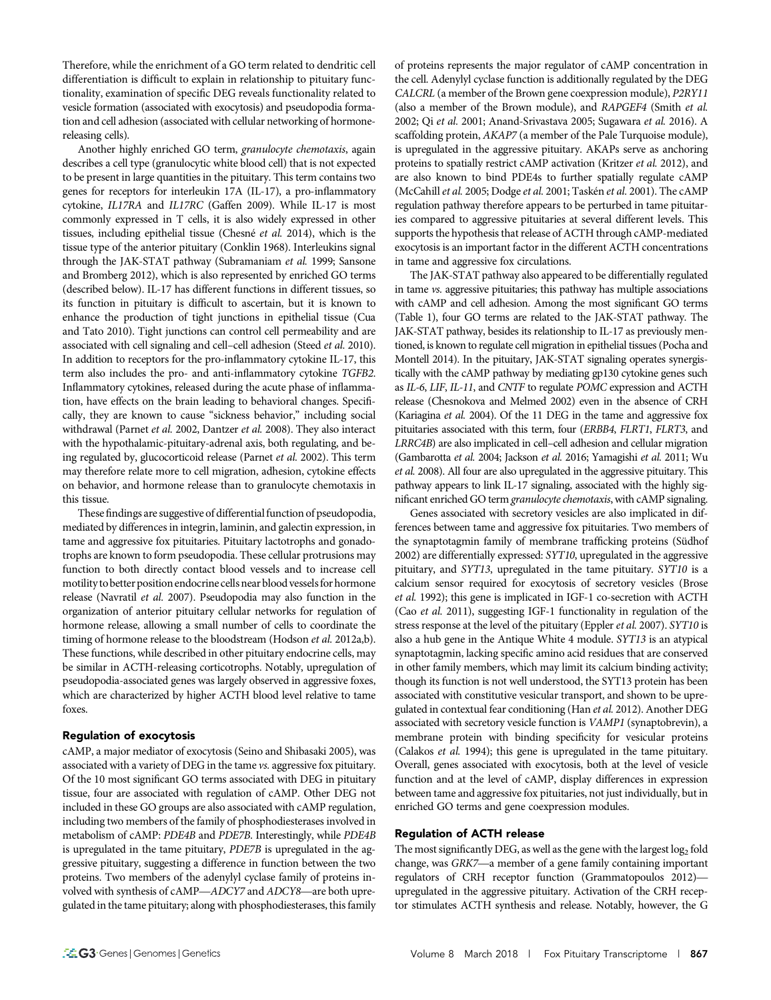Therefore, while the enrichment of a GO term related to dendritic cell differentiation is difficult to explain in relationship to pituitary functionality, examination of specific DEG reveals functionality related to vesicle formation (associated with exocytosis) and pseudopodia formation and cell adhesion (associated with cellular networking of hormonereleasing cells).

Another highly enriched GO term, granulocyte chemotaxis, again describes a cell type (granulocytic white blood cell) that is not expected to be present in large quantities in the pituitary. This term contains two genes for receptors for interleukin 17A (IL-17), a pro-inflammatory cytokine, IL17RA and IL17RC (Gaffen 2009). While IL-17 is most commonly expressed in T cells, it is also widely expressed in other tissues, including epithelial tissue (Chesné et al. 2014), which is the tissue type of the anterior pituitary (Conklin 1968). Interleukins signal through the JAK-STAT pathway (Subramaniam et al. 1999; Sansone and Bromberg 2012), which is also represented by enriched GO terms (described below). IL-17 has different functions in different tissues, so its function in pituitary is difficult to ascertain, but it is known to enhance the production of tight junctions in epithelial tissue (Cua and Tato 2010). Tight junctions can control cell permeability and are associated with cell signaling and cell-cell adhesion (Steed et al. 2010). In addition to receptors for the pro-inflammatory cytokine IL-17, this term also includes the pro- and anti-inflammatory cytokine TGFB2. Inflammatory cytokines, released during the acute phase of inflammation, have effects on the brain leading to behavioral changes. Specifically, they are known to cause "sickness behavior," including social withdrawal (Parnet et al. 2002, Dantzer et al. 2008). They also interact with the hypothalamic-pituitary-adrenal axis, both regulating, and being regulated by, glucocorticoid release (Parnet et al. 2002). This term may therefore relate more to cell migration, adhesion, cytokine effects on behavior, and hormone release than to granulocyte chemotaxis in this tissue.

These findings are suggestive of differential function of pseudopodia, mediated by differences in integrin, laminin, and galectin expression, in tame and aggressive fox pituitaries. Pituitary lactotrophs and gonadotrophs are known to form pseudopodia. These cellular protrusions may function to both directly contact blood vessels and to increase cell motility to better position endocrine cells near blood vesselsfor hormone release (Navratil et al. 2007). Pseudopodia may also function in the organization of anterior pituitary cellular networks for regulation of hormone release, allowing a small number of cells to coordinate the timing of hormone release to the bloodstream (Hodson et al. 2012a,b). These functions, while described in other pituitary endocrine cells, may be similar in ACTH-releasing corticotrophs. Notably, upregulation of pseudopodia-associated genes was largely observed in aggressive foxes, which are characterized by higher ACTH blood level relative to tame foxes.

## Regulation of exocytosis

cAMP, a major mediator of exocytosis (Seino and Shibasaki 2005), was associated with a variety of DEG in the tame vs. aggressive fox pituitary. Of the 10 most significant GO terms associated with DEG in pituitary tissue, four are associated with regulation of cAMP. Other DEG not included in these GO groups are also associated with cAMP regulation, including two members of the family of phosphodiesterases involved in metabolism of cAMP: PDE4B and PDE7B. Interestingly, while PDE4B is upregulated in the tame pituitary, PDE7B is upregulated in the aggressive pituitary, suggesting a difference in function between the two proteins. Two members of the adenylyl cyclase family of proteins involved with synthesis of cAMP—ADCY7 and ADCY8—are both upregulated in the tame pituitary; along with phosphodiesterases, this family

of proteins represents the major regulator of cAMP concentration in the cell. Adenylyl cyclase function is additionally regulated by the DEG CALCRL (a member of the Brown gene coexpression module), P2RY11 (also a member of the Brown module), and RAPGEF4 (Smith et al. 2002; Qi et al. 2001; Anand-Srivastava 2005; Sugawara et al. 2016). A scaffolding protein, AKAP7 (a member of the Pale Turquoise module), is upregulated in the aggressive pituitary. AKAPs serve as anchoring proteins to spatially restrict cAMP activation (Kritzer et al. 2012), and are also known to bind PDE4s to further spatially regulate cAMP (McCahill et al. 2005; Dodge et al. 2001; Taskén et al. 2001). The cAMP regulation pathway therefore appears to be perturbed in tame pituitaries compared to aggressive pituitaries at several different levels. This supports the hypothesis that release of ACTH through cAMP-mediated exocytosis is an important factor in the different ACTH concentrations in tame and aggressive fox circulations.

The JAK-STAT pathway also appeared to be differentially regulated in tame vs. aggressive pituitaries; this pathway has multiple associations with cAMP and cell adhesion. Among the most significant GO terms (Table 1), four GO terms are related to the JAK-STAT pathway. The JAK-STAT pathway, besides its relationship to IL-17 as previously mentioned, is known to regulate cell migration in epithelial tissues (Pocha and Montell 2014). In the pituitary, JAK-STAT signaling operates synergistically with the cAMP pathway by mediating gp130 cytokine genes such as IL-6, LIF, IL-11, and CNTF to regulate POMC expression and ACTH release (Chesnokova and Melmed 2002) even in the absence of CRH (Kariagina et al. 2004). Of the 11 DEG in the tame and aggressive fox pituitaries associated with this term, four (ERBB4, FLRT1, FLRT3, and LRRC4B) are also implicated in cell–cell adhesion and cellular migration (Gambarotta et al. 2004; Jackson et al. 2016; Yamagishi et al. 2011; Wu et al. 2008). All four are also upregulated in the aggressive pituitary. This pathway appears to link IL-17 signaling, associated with the highly significant enriched GO term granulocyte chemotaxis, with cAMP signaling.

Genes associated with secretory vesicles are also implicated in differences between tame and aggressive fox pituitaries. Two members of the synaptotagmin family of membrane trafficking proteins (Südhof 2002) are differentially expressed: SYT10, upregulated in the aggressive pituitary, and SYT13, upregulated in the tame pituitary. SYT10 is a calcium sensor required for exocytosis of secretory vesicles (Brose et al. 1992); this gene is implicated in IGF-1 co-secretion with ACTH (Cao et al. 2011), suggesting IGF-1 functionality in regulation of the stress response at the level of the pituitary (Eppler et al. 2007). SYT10 is also a hub gene in the Antique White 4 module. SYT13 is an atypical synaptotagmin, lacking specific amino acid residues that are conserved in other family members, which may limit its calcium binding activity; though its function is not well understood, the SYT13 protein has been associated with constitutive vesicular transport, and shown to be upregulated in contextual fear conditioning (Han et al. 2012). Another DEG associated with secretory vesicle function is VAMP1 (synaptobrevin), a membrane protein with binding specificity for vesicular proteins (Calakos et al. 1994); this gene is upregulated in the tame pituitary. Overall, genes associated with exocytosis, both at the level of vesicle function and at the level of cAMP, display differences in expression between tame and aggressive fox pituitaries, not just individually, but in enriched GO terms and gene coexpression modules.

## Regulation of ACTH release

The most significantly DEG, as well as the gene with the largest  $log<sub>2</sub>$  fold change, was GRK7—a member of a gene family containing important regulators of CRH receptor function (Grammatopoulos 2012) upregulated in the aggressive pituitary. Activation of the CRH receptor stimulates ACTH synthesis and release. Notably, however, the G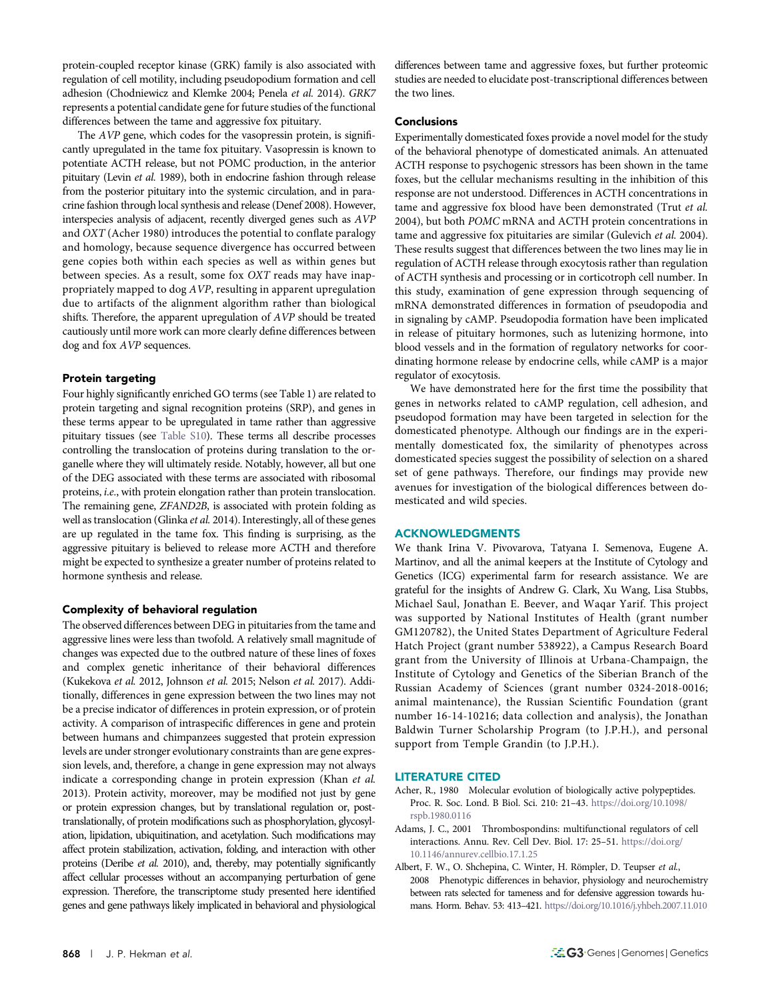protein-coupled receptor kinase (GRK) family is also associated with regulation of cell motility, including pseudopodium formation and cell adhesion (Chodniewicz and Klemke 2004; Penela et al. 2014). GRK7 represents a potential candidate gene for future studies of the functional differences between the tame and aggressive fox pituitary.

The AVP gene, which codes for the vasopressin protein, is significantly upregulated in the tame fox pituitary. Vasopressin is known to potentiate ACTH release, but not POMC production, in the anterior pituitary (Levin et al. 1989), both in endocrine fashion through release from the posterior pituitary into the systemic circulation, and in paracrine fashion through local synthesis and release (Denef 2008). However, interspecies analysis of adjacent, recently diverged genes such as AVP and OXT (Acher 1980) introduces the potential to conflate paralogy and homology, because sequence divergence has occurred between gene copies both within each species as well as within genes but between species. As a result, some fox OXT reads may have inappropriately mapped to dog AVP, resulting in apparent upregulation due to artifacts of the alignment algorithm rather than biological shifts. Therefore, the apparent upregulation of AVP should be treated cautiously until more work can more clearly define differences between dog and fox AVP sequences.

## Protein targeting

Four highly significantly enriched GO terms (see Table 1) are related to protein targeting and signal recognition proteins (SRP), and genes in these terms appear to be upregulated in tame rather than aggressive pituitary tissues (see [Table S10](http://www.g3journal.org/lookup/suppl/doi:10.1534/g3.117.300508/-/DC1/TableS10.xlsx;)). These terms all describe processes controlling the translocation of proteins during translation to the organelle where they will ultimately reside. Notably, however, all but one of the DEG associated with these terms are associated with ribosomal proteins, i.e., with protein elongation rather than protein translocation. The remaining gene, ZFAND2B, is associated with protein folding as well as translocation (Glinka et al. 2014). Interestingly, all of these genes are up regulated in the tame fox. This finding is surprising, as the aggressive pituitary is believed to release more ACTH and therefore might be expected to synthesize a greater number of proteins related to hormone synthesis and release.

#### Complexity of behavioral regulation

The observed differences between DEG in pituitaries from the tame and aggressive lines were less than twofold. A relatively small magnitude of changes was expected due to the outbred nature of these lines of foxes and complex genetic inheritance of their behavioral differences (Kukekova et al. 2012, Johnson et al. 2015; Nelson et al. 2017). Additionally, differences in gene expression between the two lines may not be a precise indicator of differences in protein expression, or of protein activity. A comparison of intraspecific differences in gene and protein between humans and chimpanzees suggested that protein expression levels are under stronger evolutionary constraints than are gene expression levels, and, therefore, a change in gene expression may not always indicate a corresponding change in protein expression (Khan et al. 2013). Protein activity, moreover, may be modified not just by gene or protein expression changes, but by translational regulation or, posttranslationally, of protein modifications such as phosphorylation, glycosylation, lipidation, ubiquitination, and acetylation. Such modifications may affect protein stabilization, activation, folding, and interaction with other proteins (Deribe et al. 2010), and, thereby, may potentially significantly affect cellular processes without an accompanying perturbation of gene expression. Therefore, the transcriptome study presented here identified genes and gene pathways likely implicated in behavioral and physiological

differences between tame and aggressive foxes, but further proteomic studies are needed to elucidate post-transcriptional differences between the two lines.

## Conclusions

Experimentally domesticated foxes provide a novel model for the study of the behavioral phenotype of domesticated animals. An attenuated ACTH response to psychogenic stressors has been shown in the tame foxes, but the cellular mechanisms resulting in the inhibition of this response are not understood. Differences in ACTH concentrations in tame and aggressive fox blood have been demonstrated (Trut et al. 2004), but both POMC mRNA and ACTH protein concentrations in tame and aggressive fox pituitaries are similar (Gulevich et al. 2004). These results suggest that differences between the two lines may lie in regulation of ACTH release through exocytosis rather than regulation of ACTH synthesis and processing or in corticotroph cell number. In this study, examination of gene expression through sequencing of mRNA demonstrated differences in formation of pseudopodia and in signaling by cAMP. Pseudopodia formation have been implicated in release of pituitary hormones, such as lutenizing hormone, into blood vessels and in the formation of regulatory networks for coordinating hormone release by endocrine cells, while cAMP is a major regulator of exocytosis.

We have demonstrated here for the first time the possibility that genes in networks related to cAMP regulation, cell adhesion, and pseudopod formation may have been targeted in selection for the domesticated phenotype. Although our findings are in the experimentally domesticated fox, the similarity of phenotypes across domesticated species suggest the possibility of selection on a shared set of gene pathways. Therefore, our findings may provide new avenues for investigation of the biological differences between domesticated and wild species.

## ACKNOWLEDGMENTS

We thank Irina V. Pivovarova, Tatyana I. Semenova, Eugene A. Martinov, and all the animal keepers at the Institute of Cytology and Genetics (ICG) experimental farm for research assistance. We are grateful for the insights of Andrew G. Clark, Xu Wang, Lisa Stubbs, Michael Saul, Jonathan E. Beever, and Waqar Yarif. This project was supported by National Institutes of Health (grant number GM120782), the United States Department of Agriculture Federal Hatch Project (grant number 538922), a Campus Research Board grant from the University of Illinois at Urbana-Champaign, the Institute of Cytology and Genetics of the Siberian Branch of the Russian Academy of Sciences (grant number 0324-2018-0016; animal maintenance), the Russian Scientific Foundation (grant number 16-14-10216; data collection and analysis), the Jonathan Baldwin Turner Scholarship Program (to J.P.H.), and personal support from Temple Grandin (to J.P.H.).

## LITERATURE CITED

- Acher, R., 1980 Molecular evolution of biologically active polypeptides. Proc. R. Soc. Lond. B Biol. Sci. 210: 21–43. [https://doi.org/10.1098/](https://doi.org/10.1098/rspb.1980.0116) [rspb.1980.0116](https://doi.org/10.1098/rspb.1980.0116)
- Adams, J. C., 2001 Thrombospondins: multifunctional regulators of cell interactions. Annu. Rev. Cell Dev. Biol. 17: 25–51. [https://doi.org/](https://doi.org/10.1146/annurev.cellbio.17.1.25) [10.1146/annurev.cellbio.17.1.25](https://doi.org/10.1146/annurev.cellbio.17.1.25)
- Albert, F. W., O. Shchepina, C. Winter, H. Römpler, D. Teupser et al., 2008 Phenotypic differences in behavior, physiology and neurochemistry between rats selected for tameness and for defensive aggression towards humans. Horm. Behav. 53: 413–421. <https://doi.org/10.1016/j.yhbeh.2007.11.010>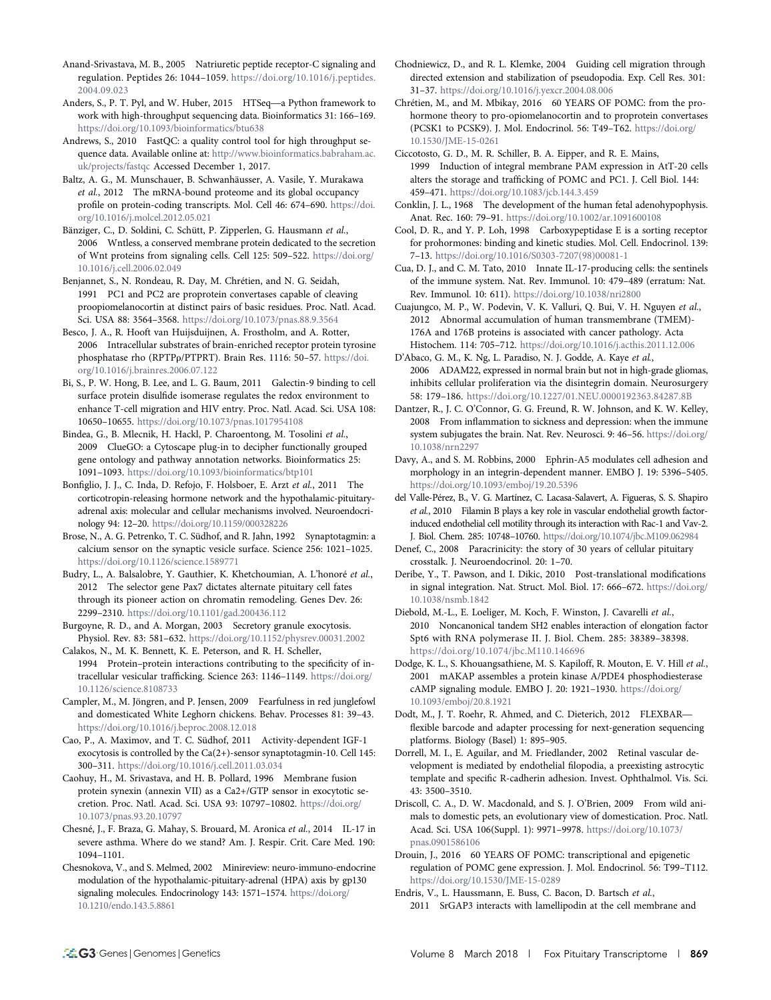- Anand-Srivastava, M. B., 2005 Natriuretic peptide receptor-C signaling and regulation. Peptides 26: 1044–1059. [https://doi.org/10.1016/j.peptides.](https://doi.org/10.1016/<!?show $132#?>j.peptides.2004.09.023) [2004.09.023](https://doi.org/10.1016/<!?show $132#?>j.peptides.2004.09.023)
- Anders, S., P. T. Pyl, and W. Huber, 2015 HTSeq—a Python framework to work with high-throughput sequencing data. Bioinformatics 31: 166–169. <https://doi.org/10.1093/bioinformatics/btu638>
- Andrews, S., 2010 FastQC: a quality control tool for high throughput sequence data. Available online at: [http://www.bioinformatics.babraham.ac.](http://www.bioinformatics.babraham.ac.uk/projects/fastqc.) [uk/projects/fastqc](http://www.bioinformatics.babraham.ac.uk/projects/fastqc.) Accessed December 1, 2017.
- Baltz, A. G., M. Munschauer, B. Schwanhäusser, A. Vasile, Y. Murakawa et al., 2012 The mRNA-bound proteome and its global occupancy profile on protein-coding transcripts. Mol. Cell 46: 674–690. [https://doi.](https://doi.org/10.1016/j.molcel.2012.05.021) [org/10.1016/j.molcel.2012.05.021](https://doi.org/10.1016/j.molcel.2012.05.021)
- Bänziger, C., D. Soldini, C. Schütt, P. Zipperlen, G. Hausmann et al., 2006 Wntless, a conserved membrane protein dedicated to the secretion of Wnt proteins from signaling cells. Cell 125: 509–522. [https://doi.org/](https://doi.org/10.1016/j.cell.2006.02.049) [10.1016/j.cell.2006.02.049](https://doi.org/10.1016/j.cell.2006.02.049)
- Benjannet, S., N. Rondeau, R. Day, M. Chrétien, and N. G. Seidah, 1991 PC1 and PC2 are proprotein convertases capable of cleaving proopiomelanocortin at distinct pairs of basic residues. Proc. Natl. Acad. Sci. USA 88: 3564–3568. <https://doi.org/10.1073/pnas.88.9.3564>
- Besco, J. A., R. Hooft van Huijsduijnen, A. Frostholm, and A. Rotter, 2006 Intracellular substrates of brain-enriched receptor protein tyrosine phosphatase rho (RPTPp/PTPRT). Brain Res. 1116: 50-57. [https://doi.](https://doi.org/10.1016/j.brainres.2006.07.122) [org/10.1016/j.brainres.2006.07.122](https://doi.org/10.1016/j.brainres.2006.07.122)
- Bi, S., P. W. Hong, B. Lee, and L. G. Baum, 2011 Galectin-9 binding to cell surface protein disulfide isomerase regulates the redox environment to enhance T-cell migration and HIV entry. Proc. Natl. Acad. Sci. USA 108: 10650–10655. <https://doi.org/10.1073/pnas.1017954108>
- Bindea, G., B. Mlecnik, H. Hackl, P. Charoentong, M. Tosolini et al., 2009 ClueGO: a Cytoscape plug-in to decipher functionally grouped gene ontology and pathway annotation networks. Bioinformatics 25: 1091–1093. <https://doi.org/10.1093/bioinformatics/btp101>
- Bonfiglio, J. J., C. Inda, D. Refojo, F. Holsboer, E. Arzt et al., 2011 The corticotropin-releasing hormone network and the hypothalamic-pituitaryadrenal axis: molecular and cellular mechanisms involved. Neuroendocrinology 94: 12–20. <https://doi.org/10.1159/000328226>
- Brose, N., A. G. Petrenko, T. C. Südhof, and R. Jahn, 1992 Synaptotagmin: a calcium sensor on the synaptic vesicle surface. Science 256: 1021–1025. <https://doi.org/10.1126/science.1589771>
- Budry, L., A. Balsalobre, Y. Gauthier, K. Khetchoumian, A. L'honoré et al., 2012 The selector gene Pax7 dictates alternate pituitary cell fates through its pioneer action on chromatin remodeling. Genes Dev. 26: 2299–2310. <https://doi.org/10.1101/gad.200436.112>
- Burgoyne, R. D., and A. Morgan, 2003 Secretory granule exocytosis. Physiol. Rev. 83: 581–632. <https://doi.org/10.1152/physrev.00031.2002>
- Calakos, N., M. K. Bennett, K. E. Peterson, and R. H. Scheller, 1994 Protein–protein interactions contributing to the specificity of intracellular vesicular trafficking. Science 263: 1146–1149. [https://doi.org/](https://doi.org/10.1126/science.8108733) [10.1126/science.8108733](https://doi.org/10.1126/science.8108733)
- Campler, M., M. Jöngren, and P. Jensen, 2009 Fearfulness in red junglefowl and domesticated White Leghorn chickens. Behav. Processes 81: 39–43. <https://doi.org/10.1016/j.beproc.2008.12.018>
- Cao, P., A. Maximov, and T. C. Südhof, 2011 Activity-dependent IGF-1 exocytosis is controlled by the Ca(2+)-sensor synaptotagmin-10. Cell 145: 300–311. <https://doi.org/10.1016/j.cell.2011.03.034>
- Caohuy, H., M. Srivastava, and H. B. Pollard, 1996 Membrane fusion protein synexin (annexin VII) as a Ca2+/GTP sensor in exocytotic secretion. Proc. Natl. Acad. Sci. USA 93: 10797–10802. [https://doi.org/](https://doi.org/10.1073/pnas.93.20.10797) [10.1073/pnas.93.20.10797](https://doi.org/10.1073/pnas.93.20.10797)
- Chesné, J., F. Braza, G. Mahay, S. Brouard, M. Aronica et al., 2014 IL-17 in severe asthma. Where do we stand? Am. J. Respir. Crit. Care Med. 190: 1094–1101.
- Chesnokova, V., and S. Melmed, 2002 Minireview: neuro-immuno-endocrine modulation of the hypothalamic-pituitary-adrenal (HPA) axis by gp130 signaling molecules. Endocrinology 143: 1571–1574. [https://doi.org/](https://doi.org/10.1210/endo.143.5.8861) [10.1210/endo.143.5.8861](https://doi.org/10.1210/endo.143.5.8861)
- Chodniewicz, D., and R. L. Klemke, 2004 Guiding cell migration through directed extension and stabilization of pseudopodia. Exp. Cell Res. 301: 31–37. <https://doi.org/10.1016/j.yexcr.2004.08.006>
- Chrétien, M., and M. Mbikay, 2016 60 YEARS OF POMC: from the prohormone theory to pro-opiomelanocortin and to proprotein convertases (PCSK1 to PCSK9). J. Mol. Endocrinol. 56: T49–T62. [https://doi.org/](https://doi.org/10.1530/JME-15-0261) [10.1530/JME-15-0261](https://doi.org/10.1530/JME-15-0261)
- Ciccotosto, G. D., M. R. Schiller, B. A. Eipper, and R. E. Mains, 1999 Induction of integral membrane PAM expression in AtT-20 cells alters the storage and trafficking of POMC and PC1. J. Cell Biol. 144: 459–471. <https://doi.org/10.1083/jcb.144.3.459>
- Conklin, J. L., 1968 The development of the human fetal adenohypophysis. Anat. Rec. 160: 79–91. <https://doi.org/10.1002/ar.1091600108>
- Cool, D. R., and Y. P. Loh, 1998 Carboxypeptidase E is a sorting receptor for prohormones: binding and kinetic studies. Mol. Cell. Endocrinol. 139: 7–13. [https://doi.org/10.1016/S0303-7207\(98\)00081-1](https://doi.org/10.1016/S0303-7207(98)00081-1)
- Cua, D. J., and C. M. Tato, 2010 Innate IL-17-producing cells: the sentinels of the immune system. Nat. Rev. Immunol. 10: 479–489 (erratum: Nat. Rev. Immunol. 10: 611). <https://doi.org/10.1038/nri2800>
- Cuajungco, M. P., W. Podevin, V. K. Valluri, Q. Bui, V. H. Nguyen et al., 2012 Abnormal accumulation of human transmembrane (TMEM)- 176A and 176B proteins is associated with cancer pathology. Acta Histochem. 114: 705–712. <https://doi.org/10.1016/j.acthis.2011.12.006>
- D'Abaco, G. M., K. Ng, L. Paradiso, N. J. Godde, A. Kaye et al., 2006 ADAM22, expressed in normal brain but not in high-grade gliomas, inhibits cellular proliferation via the disintegrin domain. Neurosurgery 58: 179–186. <https://doi.org/10.1227/01.NEU.0000192363.84287.8B>
- Dantzer, R., J. C. O'Connor, G. G. Freund, R. W. Johnson, and K. W. Kelley, 2008 From inflammation to sickness and depression: when the immune system subjugates the brain. Nat. Rev. Neurosci. 9: 46–56. [https://doi.org/](https://doi.org/10.1038/nrn2297) [10.1038/nrn2297](https://doi.org/10.1038/nrn2297)
- Davy, A., and S. M. Robbins, 2000 Ephrin-A5 modulates cell adhesion and morphology in an integrin-dependent manner. EMBO J. 19: 5396–5405. <https://doi.org/10.1093/emboj/19.20.5396>
- del Valle-Pérez, B., V. G. Martínez, C. Lacasa-Salavert, A. Figueras, S. S. Shapiro et al., 2010 Filamin B plays a key role in vascular endothelial growth factorinduced endothelial cell motility through its interaction with Rac-1 and Vav-2. J. Biol. Chem. 285: 10748–10760. <https://doi.org/10.1074/jbc.M109.062984>
- Denef, C., 2008 Paracrinicity: the story of 30 years of cellular pituitary crosstalk. J. Neuroendocrinol. 20: 1–70.
- Deribe, Y., T. Pawson, and I. Dikic, 2010 Post-translational modifications in signal integration. Nat. Struct. Mol. Biol. 17: 666–672. [https://doi.org/](https://doi.org/10.1038/nsmb.1842) [10.1038/nsmb.1842](https://doi.org/10.1038/nsmb.1842)
- Diebold, M.-L., E. Loeliger, M. Koch, F. Winston, J. Cavarelli et al., 2010 Noncanonical tandem SH2 enables interaction of elongation factor Spt6 with RNA polymerase II. J. Biol. Chem. 285: 38389–38398. <https://doi.org/10.1074/jbc.M110.146696>
- Dodge, K. L., S. Khouangsathiene, M. S. Kapiloff, R. Mouton, E. V. Hill et al., 2001 mAKAP assembles a protein kinase A/PDE4 phosphodiesterase cAMP signaling module. EMBO J. 20: 1921–1930. [https://doi.org/](https://doi.org/10.1093/emboj/20.8.1921) [10.1093/emboj/20.8.1921](https://doi.org/10.1093/emboj/20.8.1921)
- Dodt, M., J. T. Roehr, R. Ahmed, and C. Dieterich, 2012 FLEXBAR flexible barcode and adapter processing for next-generation sequencing platforms. Biology (Basel) 1: 895–905.
- Dorrell, M. I., E. Aguilar, and M. Friedlander, 2002 Retinal vascular development is mediated by endothelial filopodia, a preexisting astrocytic template and specific R-cadherin adhesion. Invest. Ophthalmol. Vis. Sci. 43: 3500–3510.
- Driscoll, C. A., D. W. Macdonald, and S. J. O'Brien, 2009 From wild animals to domestic pets, an evolutionary view of domestication. Proc. Natl. Acad. Sci. USA 106(Suppl. 1): 9971–9978. [https://doi.org/10.1073/](https://doi.org/10.1073/pnas.0901586106) [pnas.0901586106](https://doi.org/10.1073/pnas.0901586106)
- Drouin, J., 2016 60 YEARS OF POMC: transcriptional and epigenetic regulation of POMC gene expression. J. Mol. Endocrinol. 56: T99–T112. <https://doi.org/10.1530/JME-15-0289>
- Endris, V., L. Haussmann, E. Buss, C. Bacon, D. Bartsch et al., 2011 SrGAP3 interacts with lamellipodin at the cell membrane and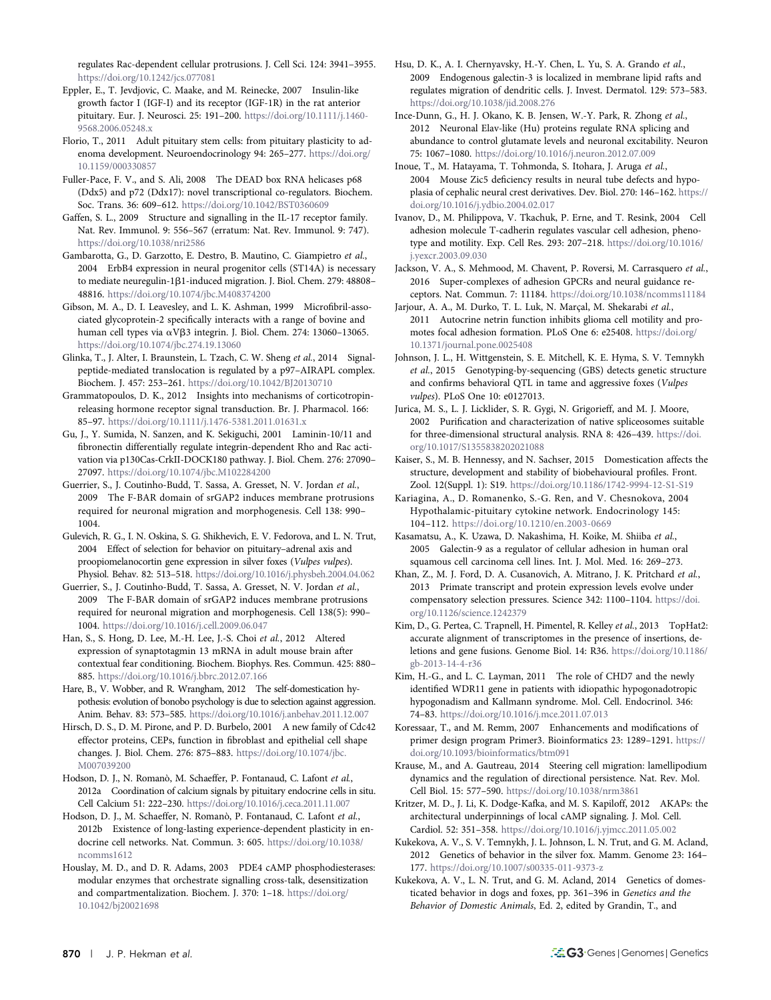regulates Rac-dependent cellular protrusions. J. Cell Sci. 124: 3941–3955. <https://doi.org/10.1242/jcs.077081>

Eppler, E., T. Jevdjovic, C. Maake, and M. Reinecke, 2007 Insulin-like growth factor I (IGF-I) and its receptor (IGF-1R) in the rat anterior pituitary. Eur. J. Neurosci. 25: 191–200. [https://doi.org/10.1111/j.1460-](https://doi.org/10.1111/j.1460-9568.2006.05248.x) [9568.2006.05248.x](https://doi.org/10.1111/j.1460-9568.2006.05248.x)

Florio, T., 2011 Adult pituitary stem cells: from pituitary plasticity to adenoma development. Neuroendocrinology 94: 265–277. [https://doi.org/](https://doi.org/10.1159/000330857) [10.1159/000330857](https://doi.org/10.1159/000330857)

Fuller-Pace, F. V., and S. Ali, 2008 The DEAD box RNA helicases p68 (Ddx5) and p72 (Ddx17): novel transcriptional co-regulators. Biochem. Soc. Trans. 36: 609–612. <https://doi.org/10.1042/BST0360609>

Gaffen, S. L., 2009 Structure and signalling in the IL-17 receptor family. Nat. Rev. Immunol. 9: 556–567 (erratum: Nat. Rev. Immunol. 9: 747). <https://doi.org/10.1038/nri2586>

Gambarotta, G., D. Garzotto, E. Destro, B. Mautino, C. Giampietro et al., 2004 ErbB4 expression in neural progenitor cells (ST14A) is necessary to mediate neuregulin-1β1-induced migration. J. Biol. Chem. 279: 48808-48816. <https://doi.org/10.1074/jbc.M408374200>

Gibson, M. A., D. I. Leavesley, and L. K. Ashman, 1999 Microfibril-associated glycoprotein-2 specifically interacts with a range of bovine and human cell types via αVβ3 integrin. J. Biol. Chem. 274: 13060-13065. <https://doi.org/10.1074/jbc.274.19.13060>

Glinka, T., J. Alter, I. Braunstein, L. Tzach, C. W. Sheng et al., 2014 Signalpeptide-mediated translocation is regulated by a p97–AIRAPL complex. Biochem. J. 457: 253–261. <https://doi.org/10.1042/BJ20130710>

Grammatopoulos, D. K., 2012 Insights into mechanisms of corticotropinreleasing hormone receptor signal transduction. Br. J. Pharmacol. 166: 85–97. <https://doi.org/10.1111/j.1476-5381.2011.01631.x>

Gu, J., Y. Sumida, N. Sanzen, and K. Sekiguchi, 2001 Laminin-10/11 and fibronectin differentially regulate integrin-dependent Rho and Rac activation via p130Cas-CrkII-DOCK180 pathway. J. Biol. Chem. 276: 27090– 27097. <https://doi.org/10.1074/jbc.M102284200>

Guerrier, S., J. Coutinho-Budd, T. Sassa, A. Gresset, N. V. Jordan et al., 2009 The F-BAR domain of srGAP2 induces membrane protrusions required for neuronal migration and morphogenesis. Cell 138: 990– 1004.

Gulevich, R. G., I. N. Oskina, S. G. Shikhevich, E. V. Fedorova, and L. N. Trut, 2004 Effect of selection for behavior on pituitary–adrenal axis and proopiomelanocortin gene expression in silver foxes (Vulpes vulpes). Physiol. Behav. 82: 513–518. <https://doi.org/10.1016/j.physbeh.2004.04.062>

Guerrier, S., J. Coutinho-Budd, T. Sassa, A. Gresset, N. V. Jordan et al., 2009 The F-BAR domain of srGAP2 induces membrane protrusions required for neuronal migration and morphogenesis. Cell 138(5): 990– 1004. <https://doi.org/10.1016/j.cell.2009.06.047>

Han, S., S. Hong, D. Lee, M.-H. Lee, J.-S. Choi et al., 2012 Altered expression of synaptotagmin 13 mRNA in adult mouse brain after contextual fear conditioning. Biochem. Biophys. Res. Commun. 425: 880– 885. <https://doi.org/10.1016/j.bbrc.2012.07.166>

Hare, B., V. Wobber, and R. Wrangham, 2012 The self-domestication hypothesis: evolution of bonobo psychology is due to selection against aggression. Anim. Behav. 83: 573–585. <https://doi.org/10.1016/j.anbehav.2011.12.007>

Hirsch, D. S., D. M. Pirone, and P. D. Burbelo, 2001 A new family of Cdc42 effector proteins, CEPs, function in fibroblast and epithelial cell shape changes. J. Biol. Chem. 276: 875–883. [https://doi.org/10.1074/jbc.](https://doi.org/10.1074/jbc.M007039200) [M007039200](https://doi.org/10.1074/jbc.M007039200)

Hodson, D. J., N. Romanò, M. Schaeffer, P. Fontanaud, C. Lafont et al., 2012a Coordination of calcium signals by pituitary endocrine cells in situ. Cell Calcium 51: 222–230. <https://doi.org/10.1016/j.ceca.2011.11.007>

Hodson, D. J., M. Schaeffer, N. Romanò, P. Fontanaud, C. Lafont et al., 2012b Existence of long-lasting experience-dependent plasticity in endocrine cell networks. Nat. Commun. 3: 605. [https://doi.org/10.1038/](https://doi.org/10.1038/ncomms1612) [ncomms1612](https://doi.org/10.1038/ncomms1612)

Houslay, M. D., and D. R. Adams, 2003 PDE4 cAMP phosphodiesterases: modular enzymes that orchestrate signalling cross-talk, desensitization and compartmentalization. Biochem. J. 370: 1–18. [https://doi.org/](https://doi.org/10.1042/bj20021698) [10.1042/bj20021698](https://doi.org/10.1042/bj20021698)

Hsu, D. K., A. I. Chernyavsky, H.-Y. Chen, L. Yu, S. A. Grando et al., 2009 Endogenous galectin-3 is localized in membrane lipid rafts and regulates migration of dendritic cells. J. Invest. Dermatol. 129: 573–583. <https://doi.org/10.1038/jid.2008.276>

Ince-Dunn, G., H. J. Okano, K. B. Jensen, W.-Y. Park, R. Zhong et al., 2012 Neuronal Elav-like (Hu) proteins regulate RNA splicing and abundance to control glutamate levels and neuronal excitability. Neuron 75: 1067–1080. <https://doi.org/10.1016/j.neuron.2012.07.009>

Inoue, T., M. Hatayama, T. Tohmonda, S. Itohara, J. Aruga et al., 2004 Mouse Zic5 deficiency results in neural tube defects and hypoplasia of cephalic neural crest derivatives. Dev. Biol. 270: 146–162. [https://](https://doi.org/10.1016/j.ydbio.2004.02.017) [doi.org/10.1016/j.ydbio.2004.02.017](https://doi.org/10.1016/j.ydbio.2004.02.017)

Ivanov, D., M. Philippova, V. Tkachuk, P. Erne, and T. Resink, 2004 Cell adhesion molecule T-cadherin regulates vascular cell adhesion, phenotype and motility. Exp. Cell Res. 293: 207–218. [https://doi.org/10.1016/](https://doi.org/10.1016/j.yexcr.2003.09.030) [j.yexcr.2003.09.030](https://doi.org/10.1016/j.yexcr.2003.09.030)

Jackson, V. A., S. Mehmood, M. Chavent, P. Roversi, M. Carrasquero et al., 2016 Super-complexes of adhesion GPCRs and neural guidance receptors. Nat. Commun. 7: 11184. <https://doi.org/10.1038/ncomms11184>

Jarjour, A. A., M. Durko, T. L. Luk, N. Marçal, M. Shekarabi et al., 2011 Autocrine netrin function inhibits glioma cell motility and promotes focal adhesion formation. PLoS One 6: e25408. [https://doi.org/](https://doi.org/10.1371/journal.pone.0025408) [10.1371/journal.pone.0025408](https://doi.org/10.1371/journal.pone.0025408)

Johnson, J. L., H. Wittgenstein, S. E. Mitchell, K. E. Hyma, S. V. Temnykh et al., 2015 Genotyping-by-sequencing (GBS) detects genetic structure and confirms behavioral QTL in tame and aggressive foxes (Vulpes vulpes). PLoS One 10: e0127013.

Jurica, M. S., L. J. Licklider, S. R. Gygi, N. Grigorieff, and M. J. Moore, 2002 Purification and characterization of native spliceosomes suitable for three-dimensional structural analysis. RNA 8: 426–439. [https://doi.](https://doi.org/10.1017/S1355838202021088) [org/10.1017/S1355838202021088](https://doi.org/10.1017/S1355838202021088)

Kaiser, S., M. B. Hennessy, and N. Sachser, 2015 Domestication affects the structure, development and stability of biobehavioural profiles. Front. Zool. 12(Suppl. 1): S19. <https://doi.org/10.1186/1742-9994-12-S1-S19>

Kariagina, A., D. Romanenko, S.-G. Ren, and V. Chesnokova, 2004 Hypothalamic-pituitary cytokine network. Endocrinology 145: 104–112. <https://doi.org/10.1210/en.2003-0669>

Kasamatsu, A., K. Uzawa, D. Nakashima, H. Koike, M. Shiiba et al., 2005 Galectin-9 as a regulator of cellular adhesion in human oral squamous cell carcinoma cell lines. Int. J. Mol. Med. 16: 269–273.

Khan, Z., M. J. Ford, D. A. Cusanovich, A. Mitrano, J. K. Pritchard et al., 2013 Primate transcript and protein expression levels evolve under compensatory selection pressures. Science 342: 1100–1104. [https://doi.](https://doi.org/10.1126/science.1242379) [org/10.1126/science.1242379](https://doi.org/10.1126/science.1242379)

Kim, D., G. Pertea, C. Trapnell, H. Pimentel, R. Kelley et al., 2013 TopHat2: accurate alignment of transcriptomes in the presence of insertions, deletions and gene fusions. Genome Biol. 14: R36. [https://doi.org/10.1186/](https://doi.org/10.1186/gb-2013-14-4-r36) [gb-2013-14-4-r36](https://doi.org/10.1186/gb-2013-14-4-r36)

Kim, H.-G., and L. C. Layman, 2011 The role of CHD7 and the newly identified WDR11 gene in patients with idiopathic hypogonadotropic hypogonadism and Kallmann syndrome. Mol. Cell. Endocrinol. 346: 74–83. <https://doi.org/10.1016/j.mce.2011.07.013>

Koressaar, T., and M. Remm, 2007 Enhancements and modifications of primer design program Primer3. Bioinformatics 23: 1289–1291. [https://](https://doi.org/10.1093/bioinformatics/btm091) [doi.org/10.1093/bioinformatics/btm091](https://doi.org/10.1093/bioinformatics/btm091)

Krause, M., and A. Gautreau, 2014 Steering cell migration: lamellipodium dynamics and the regulation of directional persistence. Nat. Rev. Mol. Cell Biol. 15: 577–590. <https://doi.org/10.1038/nrm3861>

Kritzer, M. D., J. Li, K. Dodge-Kafka, and M. S. Kapiloff, 2012 AKAPs: the architectural underpinnings of local cAMP signaling. J. Mol. Cell. Cardiol. 52: 351–358. <https://doi.org/10.1016/j.yjmcc.2011.05.002>

Kukekova, A. V., S. V. Temnykh, J. L. Johnson, L. N. Trut, and G. M. Acland, 2012 Genetics of behavior in the silver fox. Mamm. Genome 23: 164– 177. <https://doi.org/10.1007/s00335-011-9373-z>

Kukekova, A. V., L. N. Trut, and G. M. Acland, 2014 Genetics of domesticated behavior in dogs and foxes, pp. 361–396 in Genetics and the Behavior of Domestic Animals, Ed. 2, edited by Grandin, T., and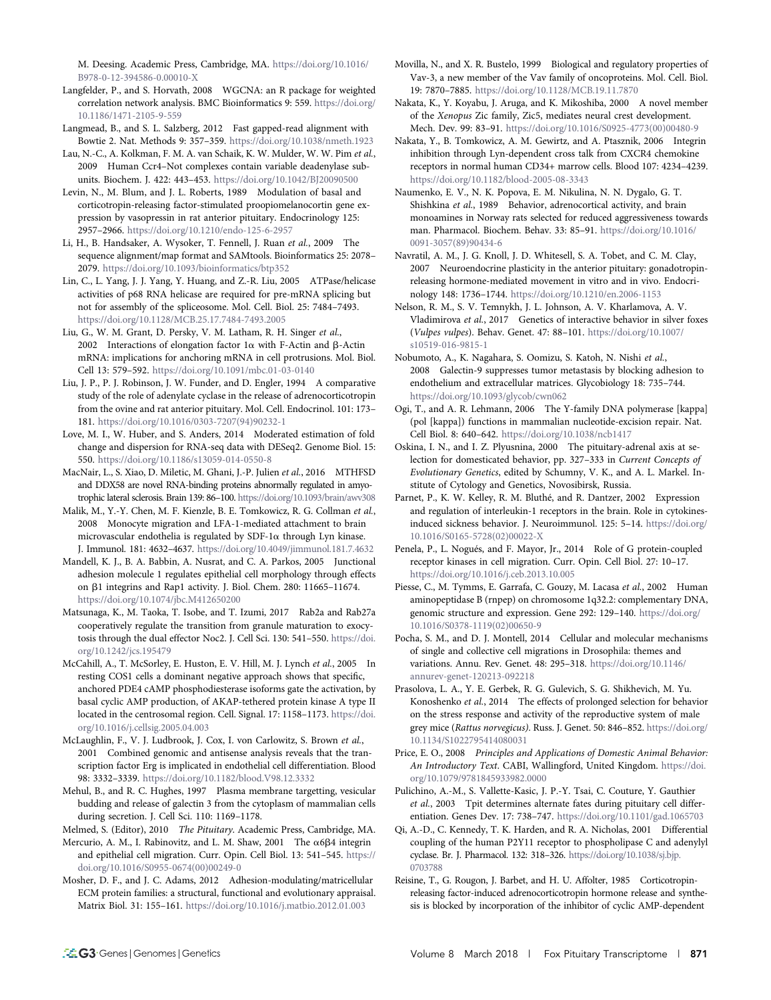M. Deesing. Academic Press, Cambridge, MA. [https://doi.org/10.1016/](https://doi.org/10.1016/B978-0-12-394586-0.00010-X) [B978-0-12-394586-0.00010-X](https://doi.org/10.1016/B978-0-12-394586-0.00010-X)

Langfelder, P., and S. Horvath, 2008 WGCNA: an R package for weighted correlation network analysis. BMC Bioinformatics 9: 559. [https://doi.org/](https://doi.org/10.1186/1471-2105-9-559) [10.1186/1471-2105-9-559](https://doi.org/10.1186/1471-2105-9-559)

Langmead, B., and S. L. Salzberg, 2012 Fast gapped-read alignment with Bowtie 2. Nat. Methods 9: 357–359. <https://doi.org/10.1038/nmeth.1923>

Lau, N.-C., A. Kolkman, F. M. A. van Schaik, K. W. Mulder, W. W. Pim et al., 2009 Human Ccr4–Not complexes contain variable deadenylase subunits. Biochem. J. 422: 443–453. <https://doi.org/10.1042/BJ20090500>

Levin, N., M. Blum, and J. L. Roberts, 1989 Modulation of basal and corticotropin-releasing factor-stimulated proopiomelanocortin gene expression by vasopressin in rat anterior pituitary. Endocrinology 125: 2957–2966. <https://doi.org/10.1210/endo-125-6-2957>

Li, H., B. Handsaker, A. Wysoker, T. Fennell, J. Ruan et al., 2009 The sequence alignment/map format and SAMtools. Bioinformatics 25: 2078– 2079. <https://doi.org/10.1093/bioinformatics/btp352>

Lin, C., L. Yang, J. J. Yang, Y. Huang, and Z.-R. Liu, 2005 ATPase/helicase activities of p68 RNA helicase are required for pre-mRNA splicing but not for assembly of the spliceosome. Mol. Cell. Biol. 25: 7484–7493. <https://doi.org/10.1128/MCB.25.17.7484-7493.2005>

Liu, G., W. M. Grant, D. Persky, V. M. Latham, R. H. Singer et al., 2002 Interactions of elongation factor  $1\alpha$  with F-Actin and  $\beta$ -Actin mRNA: implications for anchoring mRNA in cell protrusions. Mol. Biol. Cell 13: 579–592. <https://doi.org/10.1091/mbc.01-03-0140>

Liu, J. P., P. J. Robinson, J. W. Funder, and D. Engler, 1994 A comparative study of the role of adenylate cyclase in the release of adrenocorticotropin from the ovine and rat anterior pituitary. Mol. Cell. Endocrinol. 101: 173– 181. [https://doi.org/10.1016/0303-7207\(94\)90232-1](https://doi.org/10.1016/0303-7207(94)90232-1)

Love, M. I., W. Huber, and S. Anders, 2014 Moderated estimation of fold change and dispersion for RNA-seq data with DESeq2. Genome Biol. 15: 550. <https://doi.org/10.1186/s13059-014-0550-8>

MacNair, L., S. Xiao, D. Miletic, M. Ghani, J.-P. Julien et al., 2016 MTHFSD and DDX58 are novel RNA-binding proteins abnormally regulated in amyotrophic lateral sclerosis. Brain 139: 86–100. <https://doi.org/10.1093/brain/awv308>

Malik, M., Y.-Y. Chen, M. F. Kienzle, B. E. Tomkowicz, R. G. Collman et al., 2008 Monocyte migration and LFA-1-mediated attachment to brain microvascular endothelia is regulated by SDF-1 $\alpha$  through Lyn kinase. J. Immunol. 181: 4632–4637. <https://doi.org/10.4049/jimmunol.181.7.4632>

Mandell, K. J., B. A. Babbin, A. Nusrat, and C. A. Parkos, 2005 Junctional adhesion molecule 1 regulates epithelial cell morphology through effects on b1 integrins and Rap1 activity. J. Biol. Chem. 280: 11665–11674. <https://doi.org/10.1074/jbc.M412650200>

Matsunaga, K., M. Taoka, T. Isobe, and T. Izumi, 2017 Rab2a and Rab27a cooperatively regulate the transition from granule maturation to exocytosis through the dual effector Noc2. J. Cell Sci. 130: 541–550. [https://doi.](https://doi.org/10.1242/jcs.195479) [org/10.1242/jcs.195479](https://doi.org/10.1242/jcs.195479)

McCahill, A., T. McSorley, E. Huston, E. V. Hill, M. J. Lynch et al., 2005 In resting COS1 cells a dominant negative approach shows that specific, anchored PDE4 cAMP phosphodiesterase isoforms gate the activation, by basal cyclic AMP production, of AKAP-tethered protein kinase A type II located in the centrosomal region. Cell. Signal. 17: 1158–1173. [https://doi.](https://doi.org/10.1016/j.cellsig.2005.04.003) [org/10.1016/j.cellsig.2005.04.003](https://doi.org/10.1016/j.cellsig.2005.04.003)

McLaughlin, F., V. J. Ludbrook, J. Cox, I. von Carlowitz, S. Brown et al., 2001 Combined genomic and antisense analysis reveals that the transcription factor Erg is implicated in endothelial cell differentiation. Blood 98: 3332–3339. <https://doi.org/10.1182/blood.V98.12.3332>

Mehul, B., and R. C. Hughes, 1997 Plasma membrane targetting, vesicular budding and release of galectin 3 from the cytoplasm of mammalian cells during secretion. J. Cell Sci. 110: 1169–1178.

Melmed, S. (Editor), 2010 The Pituitary. Academic Press, Cambridge, MA.

Mercurio, A. M., I. Rabinovitz, and L. M. Shaw, 2001 The  $\alpha$ 6 $\beta$ 4 integrin and epithelial cell migration. Curr. Opin. Cell Biol. 13: 541–545. [https://](https://doi.org/10.1016/S0955-0674(00)00249-0) [doi.org/10.1016/S0955-0674\(00\)00249-0](https://doi.org/10.1016/S0955-0674(00)00249-0)

Mosher, D. F., and J. C. Adams, 2012 Adhesion-modulating/matricellular ECM protein families: a structural, functional and evolutionary appraisal. Matrix Biol. 31: 155–161. <https://doi.org/10.1016/j.matbio.2012.01.003>

Movilla, N., and X. R. Bustelo, 1999 Biological and regulatory properties of Vav-3, a new member of the Vav family of oncoproteins. Mol. Cell. Biol. 19: 7870–7885. <https://doi.org/10.1128/MCB.19.11.7870>

Nakata, K., Y. Koyabu, J. Aruga, and K. Mikoshiba, 2000 A novel member of the Xenopus Zic family, Zic5, mediates neural crest development. Mech. Dev. 99: 83–91. [https://doi.org/10.1016/S0925-4773\(00\)00480-9](https://doi.org/10.1016/S0925-4773(00)00480-9)

Nakata, Y., B. Tomkowicz, A. M. Gewirtz, and A. Ptasznik, 2006 Integrin inhibition through Lyn-dependent cross talk from CXCR4 chemokine receptors in normal human CD34+ marrow cells. Blood 107: 4234–4239. <https://doi.org/10.1182/blood-2005-08-3343>

Naumenko, E. V., N. K. Popova, E. M. Nikulina, N. N. Dygalo, G. T. Shishkina et al., 1989 Behavior, adrenocortical activity, and brain monoamines in Norway rats selected for reduced aggressiveness towards man. Pharmacol. Biochem. Behav. 33: 85–91. [https://doi.org/10.1016/](https://doi.org/10.1016/0091-3057(89)90434-6) [0091-3057\(89\)90434-6](https://doi.org/10.1016/0091-3057(89)90434-6)

Navratil, A. M., J. G. Knoll, J. D. Whitesell, S. A. Tobet, and C. M. Clay, 2007 Neuroendocrine plasticity in the anterior pituitary: gonadotropinreleasing hormone-mediated movement in vitro and in vivo. Endocrinology 148: 1736–1744. <https://doi.org/10.1210/en.2006-1153>

Nelson, R. M., S. V. Temnykh, J. L. Johnson, A. V. Kharlamova, A. V. Vladimirova et al., 2017 Genetics of interactive behavior in silver foxes (Vulpes vulpes). Behav. Genet. 47: 88–101. [https://doi.org/10.1007/](https://doi.org/10.1007/s10519-016-9815-1) [s10519-016-9815-1](https://doi.org/10.1007/s10519-016-9815-1)

Nobumoto, A., K. Nagahara, S. Oomizu, S. Katoh, N. Nishi et al., 2008 Galectin-9 suppresses tumor metastasis by blocking adhesion to endothelium and extracellular matrices. Glycobiology 18: 735–744. <https://doi.org/10.1093/glycob/cwn062>

Ogi, T., and A. R. Lehmann, 2006 The Y-family DNA polymerase [kappa] (pol [kappa]) functions in mammalian nucleotide-excision repair. Nat. Cell Biol. 8: 640–642. <https://doi.org/10.1038/ncb1417>

Oskina, I. N., and I. Z. Plyusnina, 2000 The pituitary-adrenal axis at selection for domesticated behavior, pp. 327–333 in Current Concepts of Evolutionary Genetics, edited by Schumny, V. K., and A. L. Markel. Institute of Cytology and Genetics, Novosibirsk, Russia.

Parnet, P., K. W. Kelley, R. M. Bluthé, and R. Dantzer, 2002 Expression and regulation of interleukin-1 receptors in the brain. Role in cytokinesinduced sickness behavior. J. Neuroimmunol. 125: 5–14. [https://doi.org/](https://doi.org/10.1016/S0165-5728(02)00022-X) [10.1016/S0165-5728\(02\)00022-X](https://doi.org/10.1016/S0165-5728(02)00022-X)

Penela, P., L. Nogués, and F. Mayor, Jr., 2014 Role of G protein-coupled receptor kinases in cell migration. Curr. Opin. Cell Biol. 27: 10–17. <https://doi.org/10.1016/j.ceb.2013.10.005>

Piesse, C., M. Tymms, E. Garrafa, C. Gouzy, M. Lacasa et al., 2002 Human aminopeptidase B (rnpep) on chromosome 1q32.2: complementary DNA, genomic structure and expression. Gene 292: 129–140. [https://doi.org/](https://doi.org/10.1016/S0378-1119(02)00650-9) [10.1016/S0378-1119\(02\)00650-9](https://doi.org/10.1016/S0378-1119(02)00650-9)

Pocha, S. M., and D. J. Montell, 2014 Cellular and molecular mechanisms of single and collective cell migrations in Drosophila: themes and variations. Annu. Rev. Genet. 48: 295–318. [https://doi.org/10.1146/](https://doi.org/10.1146/annurev-genet-120213-092218) [annurev-genet-120213-092218](https://doi.org/10.1146/annurev-genet-120213-092218)

Prasolova, L. A., Y. E. Gerbek, R. G. Gulevich, S. G. Shikhevich, M. Yu. Konoshenko et al., 2014 The effects of prolonged selection for behavior on the stress response and activity of the reproductive system of male grey mice (Rattus norvegicus). Russ. J. Genet. 50: 846–852. [https://doi.org/](https://doi.org/10.1134/S1022795414080031) [10.1134/S1022795414080031](https://doi.org/10.1134/S1022795414080031)

Price, E. O., 2008 Principles and Applications of Domestic Animal Behavior: An Introductory Text. CABI, Wallingford, United Kingdom. [https://doi.](https://doi.org/10.1079/9781845933982.0000) [org/10.1079/9781845933982.0000](https://doi.org/10.1079/9781845933982.0000)

Pulichino, A.-M., S. Vallette-Kasic, J. P.-Y. Tsai, C. Couture, Y. Gauthier et al., 2003 Tpit determines alternate fates during pituitary cell differentiation. Genes Dev. 17: 738–747. <https://doi.org/10.1101/gad.1065703>

Qi, A.-D., C. Kennedy, T. K. Harden, and R. A. Nicholas, 2001 Differential coupling of the human P2Y11 receptor to phospholipase C and adenylyl cyclase. Br. J. Pharmacol. 132: 318–326. [https://doi.org/10.1038/sj.bjp.](https://doi.org/10.1038/sj.bjp.0703788) [0703788](https://doi.org/10.1038/sj.bjp.0703788)

Reisine, T., G. Rougon, J. Barbet, and H. U. Affolter, 1985 Corticotropinreleasing factor-induced adrenocorticotropin hormone release and synthesis is blocked by incorporation of the inhibitor of cyclic AMP-dependent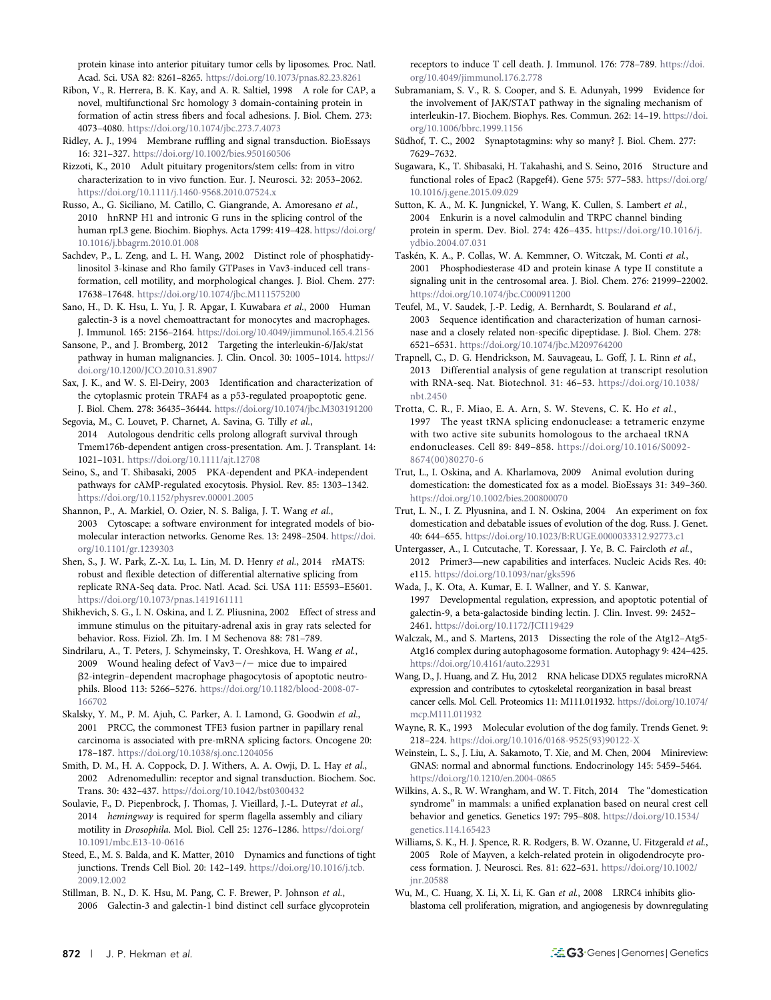protein kinase into anterior pituitary tumor cells by liposomes. Proc. Natl. Acad. Sci. USA 82: 8261–8265. <https://doi.org/10.1073/pnas.82.23.8261>

- Ribon, V., R. Herrera, B. K. Kay, and A. R. Saltiel, 1998 A role for CAP, a novel, multifunctional Src homology 3 domain-containing protein in formation of actin stress fibers and focal adhesions. J. Biol. Chem. 273: 4073–4080. <https://doi.org/10.1074/jbc.273.7.4073>
- Ridley, A. J., 1994 Membrane ruffling and signal transduction. BioEssays 16: 321–327. <https://doi.org/10.1002/bies.950160506>
- Rizzoti, K., 2010 Adult pituitary progenitors/stem cells: from in vitro characterization to in vivo function. Eur. J. Neurosci. 32: 2053–2062. <https://doi.org/10.1111/j.1460-9568.2010.07524.x>
- Russo, A., G. Siciliano, M. Catillo, C. Giangrande, A. Amoresano et al., 2010 hnRNP H1 and intronic G runs in the splicing control of the human rpL3 gene. Biochim. Biophys. Acta 1799: 419–428. [https://doi.org/](https://doi.org/10.1016/j.bbagrm.2010.01.008) [10.1016/j.bbagrm.2010.01.008](https://doi.org/10.1016/j.bbagrm.2010.01.008)
- Sachdev, P., L. Zeng, and L. H. Wang, 2002 Distinct role of phosphatidylinositol 3-kinase and Rho family GTPases in Vav3-induced cell transformation, cell motility, and morphological changes. J. Biol. Chem. 277: 17638–17648. <https://doi.org/10.1074/jbc.M111575200>
- Sano, H., D. K. Hsu, L. Yu, J. R. Apgar, I. Kuwabara et al., 2000 Human galectin-3 is a novel chemoattractant for monocytes and macrophages. J. Immunol. 165: 2156–2164. <https://doi.org/10.4049/jimmunol.165.4.2156>
- Sansone, P., and J. Bromberg, 2012 Targeting the interleukin-6/Jak/stat pathway in human malignancies. J. Clin. Oncol. 30: 1005–1014. [https://](https://doi.org/10.1200/JCO.2010.31.8907) [doi.org/10.1200/JCO.2010.31.8907](https://doi.org/10.1200/JCO.2010.31.8907)
- Sax, J. K., and W. S. El-Deiry, 2003 Identification and characterization of the cytoplasmic protein TRAF4 as a p53-regulated proapoptotic gene. J. Biol. Chem. 278: 36435–36444. <https://doi.org/10.1074/jbc.M303191200>
- Segovia, M., C. Louvet, P. Charnet, A. Savina, G. Tilly et al., 2014 Autologous dendritic cells prolong allograft survival through Tmem176b-dependent antigen cross-presentation. Am. J. Transplant. 14: 1021–1031. <https://doi.org/10.1111/ajt.12708>
- Seino, S., and T. Shibasaki, 2005 PKA-dependent and PKA-independent pathways for cAMP-regulated exocytosis. Physiol. Rev. 85: 1303–1342. <https://doi.org/10.1152/physrev.00001.2005>
- Shannon, P., A. Markiel, O. Ozier, N. S. Baliga, J. T. Wang et al., 2003 Cytoscape: a software environment for integrated models of biomolecular interaction networks. Genome Res. 13: 2498–2504. [https://doi.](https://doi.org/10.1101/gr.1239303) [org/10.1101/gr.1239303](https://doi.org/10.1101/gr.1239303)
- Shen, S., J. W. Park, Z.-X. Lu, L. Lin, M. D. Henry et al., 2014 rMATS: robust and flexible detection of differential alternative splicing from replicate RNA-Seq data. Proc. Natl. Acad. Sci. USA 111: E5593–E5601. <https://doi.org/10.1073/pnas.1419161111>
- Shikhevich, S. G., I. N. Oskina, and I. Z. Pliusnina, 2002 Effect of stress and immune stimulus on the pituitary-adrenal axis in gray rats selected for behavior. Ross. Fiziol. Zh. Im. I M Sechenova 88: 781–789.
- Sindrilaru, A., T. Peters, J. Schymeinsky, T. Oreshkova, H. Wang et al., 2009 Wound healing defect of  $\text{Vav3} - \text{/}$  mice due to impaired b2-integrin–dependent macrophage phagocytosis of apoptotic neutrophils. Blood 113: 5266–5276. [https://doi.org/10.1182/blood-2008-07-](https://doi.org/10.1182/blood-2008-07-166702) [166702](https://doi.org/10.1182/blood-2008-07-166702)
- Skalsky, Y. M., P. M. Ajuh, C. Parker, A. I. Lamond, G. Goodwin et al., 2001 PRCC, the commonest TFE3 fusion partner in papillary renal carcinoma is associated with pre-mRNA splicing factors. Oncogene 20: 178–187. <https://doi.org/10.1038/sj.onc.1204056>
- Smith, D. M., H. A. Coppock, D. J. Withers, A. A. Owji, D. L. Hay et al., 2002 Adrenomedullin: receptor and signal transduction. Biochem. Soc. Trans. 30: 432–437. <https://doi.org/10.1042/bst0300432>
- Soulavie, F., D. Piepenbrock, J. Thomas, J. Vieillard, J.-L. Duteyrat et al., 2014 hemingway is required for sperm flagella assembly and ciliary motility in Drosophila. Mol. Biol. Cell 25: 1276–1286. [https://doi.org/](https://doi.org/10.1091/mbc.E13-10-0616) [10.1091/mbc.E13-10-0616](https://doi.org/10.1091/mbc.E13-10-0616)
- Steed, E., M. S. Balda, and K. Matter, 2010 Dynamics and functions of tight junctions. Trends Cell Biol. 20: 142–149. [https://doi.org/10.1016/j.tcb.](https://doi.org/10.1016/j.tcb.2009.12.002) [2009.12.002](https://doi.org/10.1016/j.tcb.2009.12.002)
- Stillman, B. N., D. K. Hsu, M. Pang, C. F. Brewer, P. Johnson et al., 2006 Galectin-3 and galectin-1 bind distinct cell surface glycoprotein

receptors to induce T cell death. J. Immunol. 176: 778–789. [https://doi.](https://doi.org/10.4049/jimmunol.176.2.778) [org/10.4049/jimmunol.176.2.778](https://doi.org/10.4049/jimmunol.176.2.778)

- Subramaniam, S. V., R. S. Cooper, and S. E. Adunyah, 1999 Evidence for the involvement of JAK/STAT pathway in the signaling mechanism of interleukin-17. Biochem. Biophys. Res. Commun. 262: 14–19. [https://doi.](https://doi.org/10.1006/bbrc.1999.1156) [org/10.1006/bbrc.1999.1156](https://doi.org/10.1006/bbrc.1999.1156)
- Südhof, T. C., 2002 Synaptotagmins: why so many? J. Biol. Chem. 277: 7629–7632.
- Sugawara, K., T. Shibasaki, H. Takahashi, and S. Seino, 2016 Structure and functional roles of Epac2 (Rapgef4). Gene 575: 577–583. [https://doi.org/](https://doi.org/10.1016/j.gene.2015.09.029) [10.1016/j.gene.2015.09.029](https://doi.org/10.1016/j.gene.2015.09.029)

Sutton, K. A., M. K. Jungnickel, Y. Wang, K. Cullen, S. Lambert et al., 2004 Enkurin is a novel calmodulin and TRPC channel binding protein in sperm. Dev. Biol. 274: 426–435. [https://doi.org/10.1016/j.](https://doi.org/10.1016/j.ydbio.2004.07.031) [ydbio.2004.07.031](https://doi.org/10.1016/j.ydbio.2004.07.031)

- Taskén, K. A., P. Collas, W. A. Kemmner, O. Witczak, M. Conti et al., 2001 Phosphodiesterase 4D and protein kinase A type II constitute a signaling unit in the centrosomal area. J. Biol. Chem. 276: 21999–22002. <https://doi.org/10.1074/jbc.C000911200>
- Teufel, M., V. Saudek, J.-P. Ledig, A. Bernhardt, S. Boularand et al., 2003 Sequence identification and characterization of human carnosinase and a closely related non-specific dipeptidase. J. Biol. Chem. 278: 6521–6531. <https://doi.org/10.1074/jbc.M209764200>
- Trapnell, C., D. G. Hendrickson, M. Sauvageau, L. Goff, J. L. Rinn et al., 2013 Differential analysis of gene regulation at transcript resolution with RNA-seq. Nat. Biotechnol. 31: 46–53. [https://doi.org/10.1038/](https://doi.org/10.1038/nbt.2450) [nbt.2450](https://doi.org/10.1038/nbt.2450)
- Trotta, C. R., F. Miao, E. A. Arn, S. W. Stevens, C. K. Ho et al., 1997 The yeast tRNA splicing endonuclease: a tetrameric enzyme with two active site subunits homologous to the archaeal tRNA endonucleases. Cell 89: 849–858. [https://doi.org/10.1016/S0092-](https://doi.org/10.1016/S0092-8674(00)80270-6) [8674\(00\)80270-6](https://doi.org/10.1016/S0092-8674(00)80270-6)
- Trut, L., I. Oskina, and A. Kharlamova, 2009 Animal evolution during domestication: the domesticated fox as a model. BioEssays 31: 349–360. <https://doi.org/10.1002/bies.200800070>
- Trut, L. N., I. Z. Plyusnina, and I. N. Oskina, 2004 An experiment on fox domestication and debatable issues of evolution of the dog. Russ. J. Genet. 40: 644–655. <https://doi.org/10.1023/B:RUGE.0000033312.92773.c1>
- Untergasser, A., I. Cutcutache, T. Koressaar, J. Ye, B. C. Faircloth et al., 2012 Primer3—new capabilities and interfaces. Nucleic Acids Res. 40: e115. <https://doi.org/10.1093/nar/gks596>
- Wada, J., K. Ota, A. Kumar, E. I. Wallner, and Y. S. Kanwar, 1997 Developmental regulation, expression, and apoptotic potential of galectin-9, a beta-galactoside binding lectin. J. Clin. Invest. 99: 2452– 2461. <https://doi.org/10.1172/JCI119429>
- Walczak, M., and S. Martens, 2013 Dissecting the role of the Atg12–Atg5- Atg16 complex during autophagosome formation. Autophagy 9: 424–425. <https://doi.org/10.4161/auto.22931>
- Wang, D., J. Huang, and Z. Hu, 2012 RNA helicase DDX5 regulates microRNA expression and contributes to cytoskeletal reorganization in basal breast cancer cells. Mol. Cell. Proteomics 11: M111.011932. [https://doi.org/10.1074/](https://doi.org/10.1074/mcp.M111.011932) [mcp.M111.011932](https://doi.org/10.1074/mcp.M111.011932)
- Wayne, R. K., 1993 Molecular evolution of the dog family. Trends Genet. 9: 218–224. [https://doi.org/10.1016/0168-9525\(93\)90122-X](https://doi.org/10.1016/0168-9525(93)90122-X)
- Weinstein, L. S., J. Liu, A. Sakamoto, T. Xie, and M. Chen, 2004 Minireview: GNAS: normal and abnormal functions. Endocrinology 145: 5459–5464. <https://doi.org/10.1210/en.2004-0865>
- Wilkins, A. S., R. W. Wrangham, and W. T. Fitch, 2014 The "domestication syndrome" in mammals: a unified explanation based on neural crest cell behavior and genetics. Genetics 197: 795–808. [https://doi.org/10.1534/](https://doi.org/10.1534/genetics.114.165423) [genetics.114.165423](https://doi.org/10.1534/genetics.114.165423)
- Williams, S. K., H. J. Spence, R. R. Rodgers, B. W. Ozanne, U. Fitzgerald et al., 2005 Role of Mayven, a kelch-related protein in oligodendrocyte process formation. J. Neurosci. Res. 81: 622–631. [https://doi.org/10.1002/](https://doi.org/10.1002/jnr.20588) [jnr.20588](https://doi.org/10.1002/jnr.20588)
- Wu, M., C. Huang, X. Li, X. Li, K. Gan et al., 2008 LRRC4 inhibits glioblastoma cell proliferation, migration, and angiogenesis by downregulating